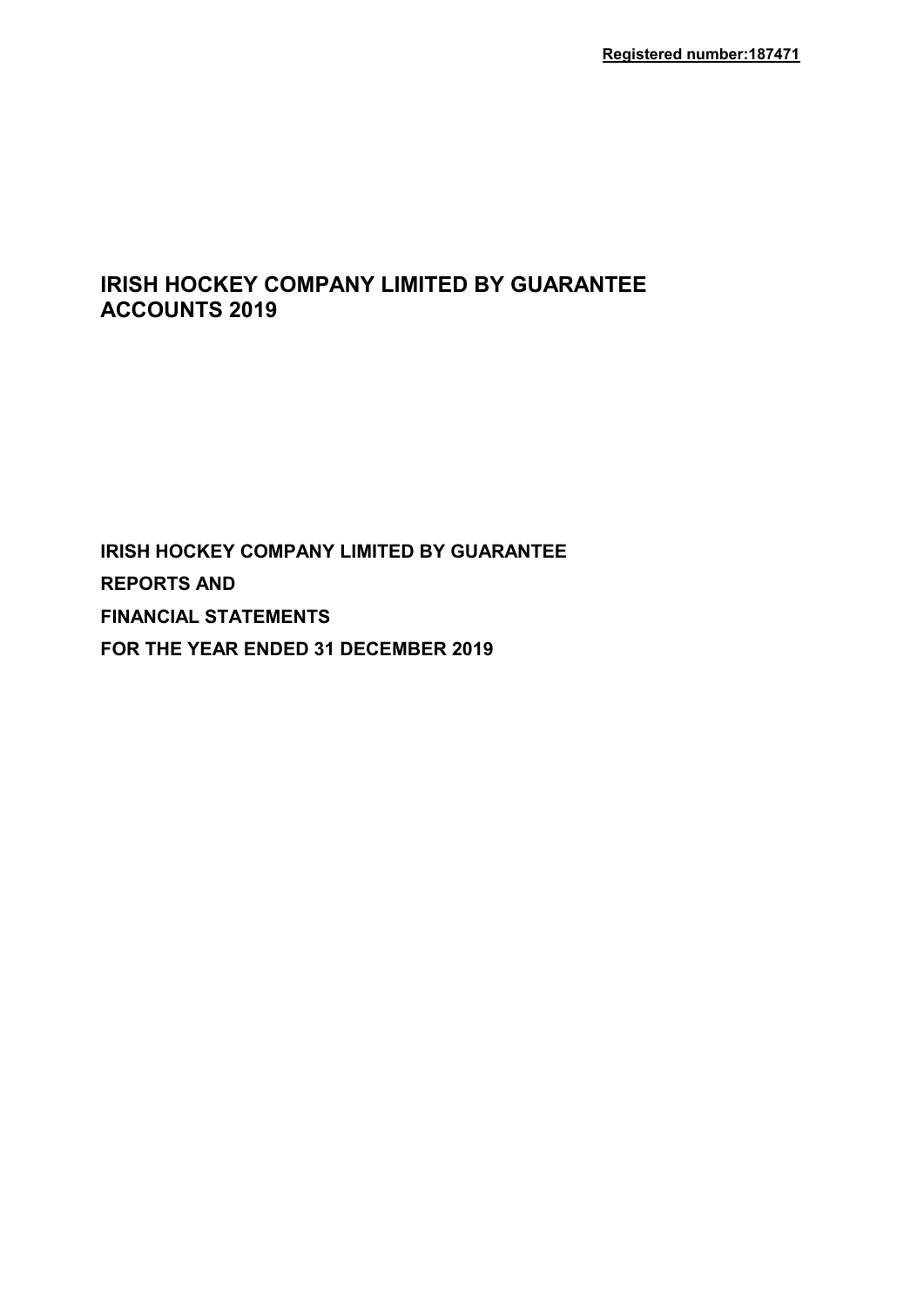**IRISH HOCKEY COMPANY LIMITED BY GUARANTEE REPORTS AND FINANCIAL STATEMENTS FOR THE YEAR ENDED 31 DECEMBER 2019**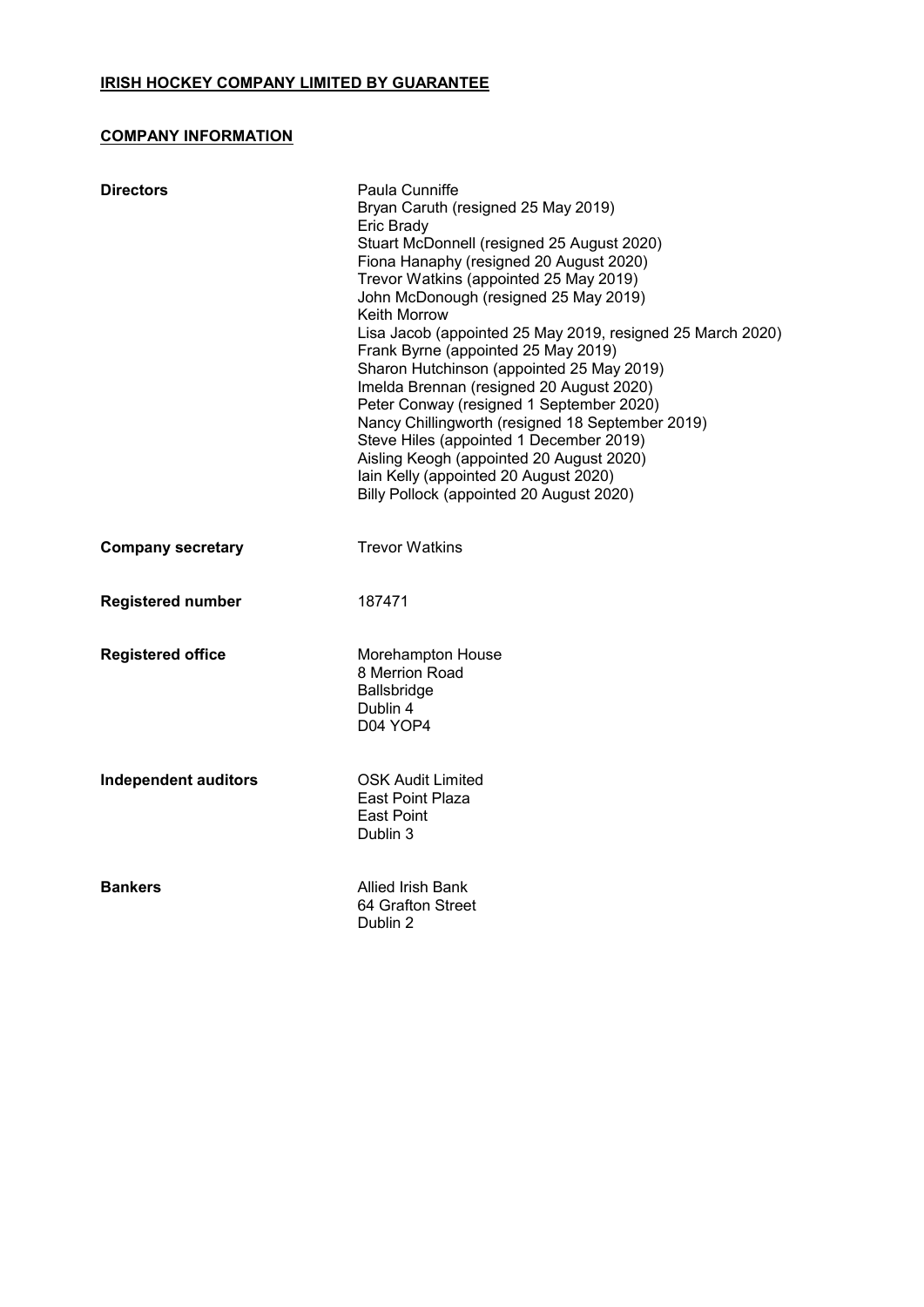### **COMPANY INFORMATION**

| <b>Directors</b>            | Paula Cunniffe<br>Bryan Caruth (resigned 25 May 2019)<br>Eric Brady<br>Stuart McDonnell (resigned 25 August 2020)<br>Fiona Hanaphy (resigned 20 August 2020)<br>Trevor Watkins (appointed 25 May 2019)<br>John McDonough (resigned 25 May 2019)<br>Keith Morrow<br>Lisa Jacob (appointed 25 May 2019, resigned 25 March 2020)<br>Frank Byrne (appointed 25 May 2019)<br>Sharon Hutchinson (appointed 25 May 2019)<br>Imelda Brennan (resigned 20 August 2020)<br>Peter Conway (resigned 1 September 2020)<br>Nancy Chillingworth (resigned 18 September 2019)<br>Steve Hiles (appointed 1 December 2019)<br>Aisling Keogh (appointed 20 August 2020)<br>Iain Kelly (appointed 20 August 2020)<br>Billy Pollock (appointed 20 August 2020) |
|-----------------------------|-------------------------------------------------------------------------------------------------------------------------------------------------------------------------------------------------------------------------------------------------------------------------------------------------------------------------------------------------------------------------------------------------------------------------------------------------------------------------------------------------------------------------------------------------------------------------------------------------------------------------------------------------------------------------------------------------------------------------------------------|
| <b>Company secretary</b>    | <b>Trevor Watkins</b>                                                                                                                                                                                                                                                                                                                                                                                                                                                                                                                                                                                                                                                                                                                     |
| <b>Registered number</b>    | 187471                                                                                                                                                                                                                                                                                                                                                                                                                                                                                                                                                                                                                                                                                                                                    |
| <b>Registered office</b>    | Morehampton House<br>8 Merrion Road<br>Ballsbridge<br>Dublin 4<br><b>D04 YOP4</b>                                                                                                                                                                                                                                                                                                                                                                                                                                                                                                                                                                                                                                                         |
| <b>Independent auditors</b> | <b>OSK Audit Limited</b><br><b>East Point Plaza</b><br>East Point<br>Dublin 3                                                                                                                                                                                                                                                                                                                                                                                                                                                                                                                                                                                                                                                             |
| <b>Bankers</b>              | <b>Allied Irish Bank</b><br>64 Grafton Street<br>Dublin 2                                                                                                                                                                                                                                                                                                                                                                                                                                                                                                                                                                                                                                                                                 |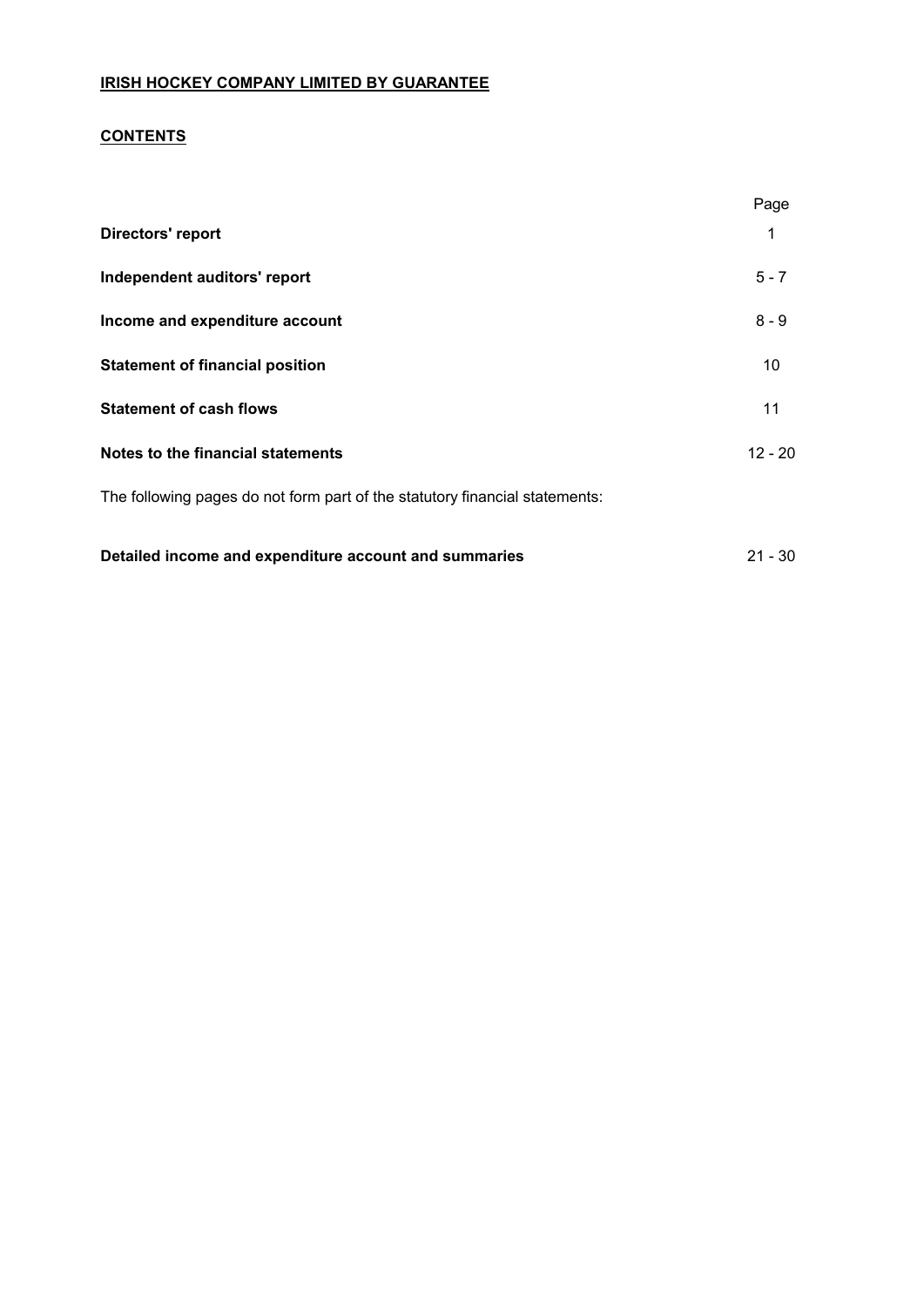## **CONTENTS**

|                                                                             | Page      |
|-----------------------------------------------------------------------------|-----------|
| <b>Directors' report</b>                                                    |           |
| Independent auditors' report                                                | $5 - 7$   |
| Income and expenditure account                                              | $8 - 9$   |
| <b>Statement of financial position</b>                                      | 10        |
| <b>Statement of cash flows</b>                                              | 11        |
| Notes to the financial statements                                           | $12 - 20$ |
| The following pages do not form part of the statutory financial statements: |           |
| Detailed income and expenditure account and summaries                       | $21 - 30$ |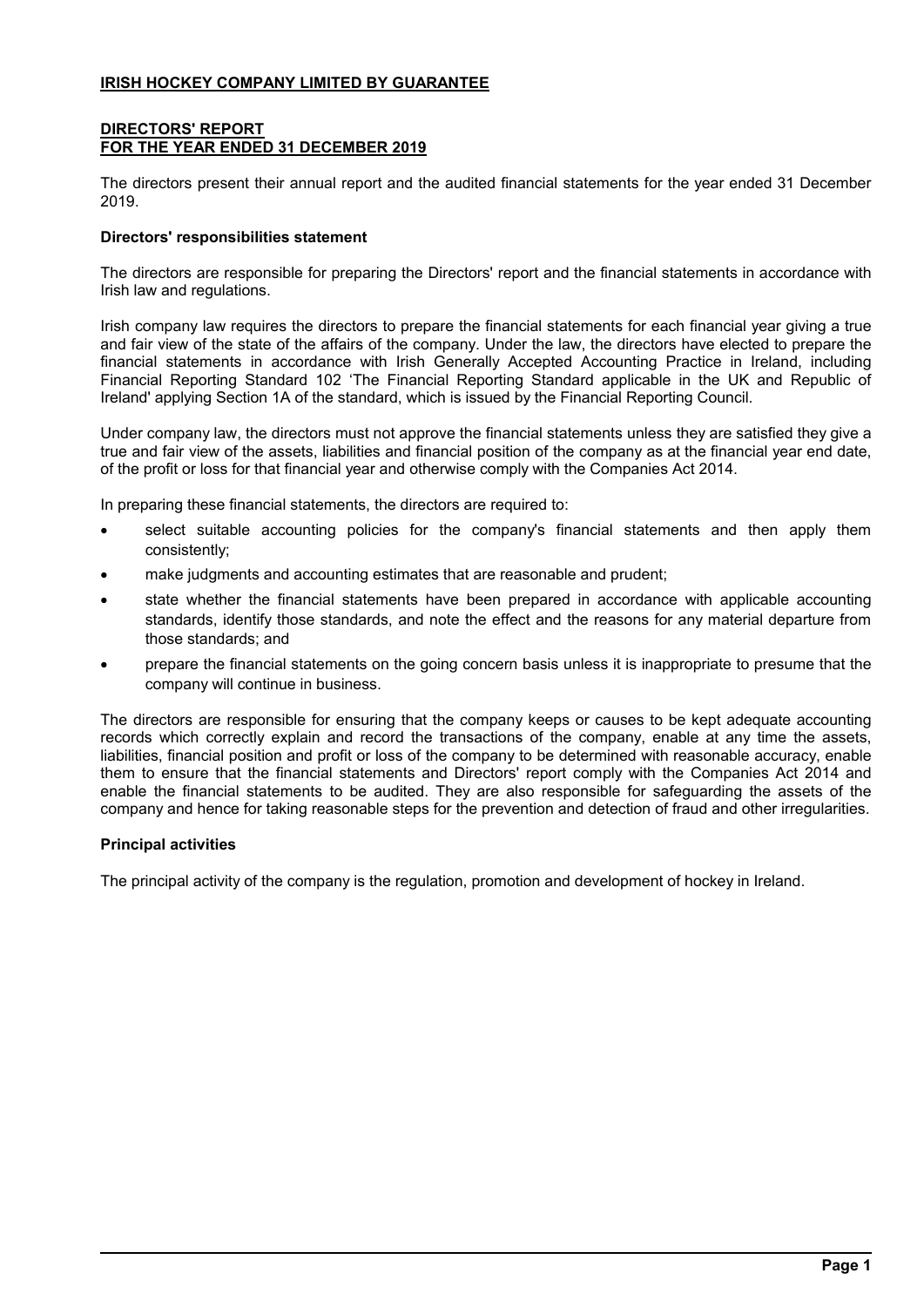#### **DIRECTORS' REPORT FOR THE YEAR ENDED 31 DECEMBER 2019**

The directors present their annual report and the audited financial statements for the year ended 31 December 2019.

#### **Directors' responsibilities statement**

The directors are responsible for preparing the Directors' report and the financial statements in accordance with Irish law and regulations.

Irish company law requires the directors to prepare the financial statements for each financial year giving a true and fair view of the state of the affairs of the company. Under the law, the directors have elected to prepare the financial statements in accordance with Irish Generally Accepted Accounting Practice in Ireland, including Financial Reporting Standard 102 'The Financial Reporting Standard applicable in the UK and Republic of Ireland' applying Section 1A of the standard, which is issued by the Financial Reporting Council.

Under company law, the directors must not approve the financial statements unless they are satisfied they give a true and fair view of the assets, liabilities and financial position of the company as at the financial year end date, of the profit or loss for that financial year and otherwise comply with the Companies Act 2014.

In preparing these financial statements, the directors are required to:

- select suitable accounting policies for the company's financial statements and then apply them consistently;
- make judgments and accounting estimates that are reasonable and prudent;
- state whether the financial statements have been prepared in accordance with applicable accounting standards, identify those standards, and note the effect and the reasons for any material departure from those standards; and
- prepare the financial statements on the going concern basis unless it is inappropriate to presume that the company will continue in business.

The directors are responsible for ensuring that the company keeps or causes to be kept adequate accounting records which correctly explain and record the transactions of the company, enable at any time the assets, liabilities, financial position and profit or loss of the company to be determined with reasonable accuracy, enable them to ensure that the financial statements and Directors' report comply with the Companies Act 2014 and enable the financial statements to be audited. They are also responsible for safeguarding the assets of the company and hence for taking reasonable steps for the prevention and detection of fraud and other irregularities.

### **Principal activities**

The principal activity of the company is the regulation, promotion and development of hockey in Ireland.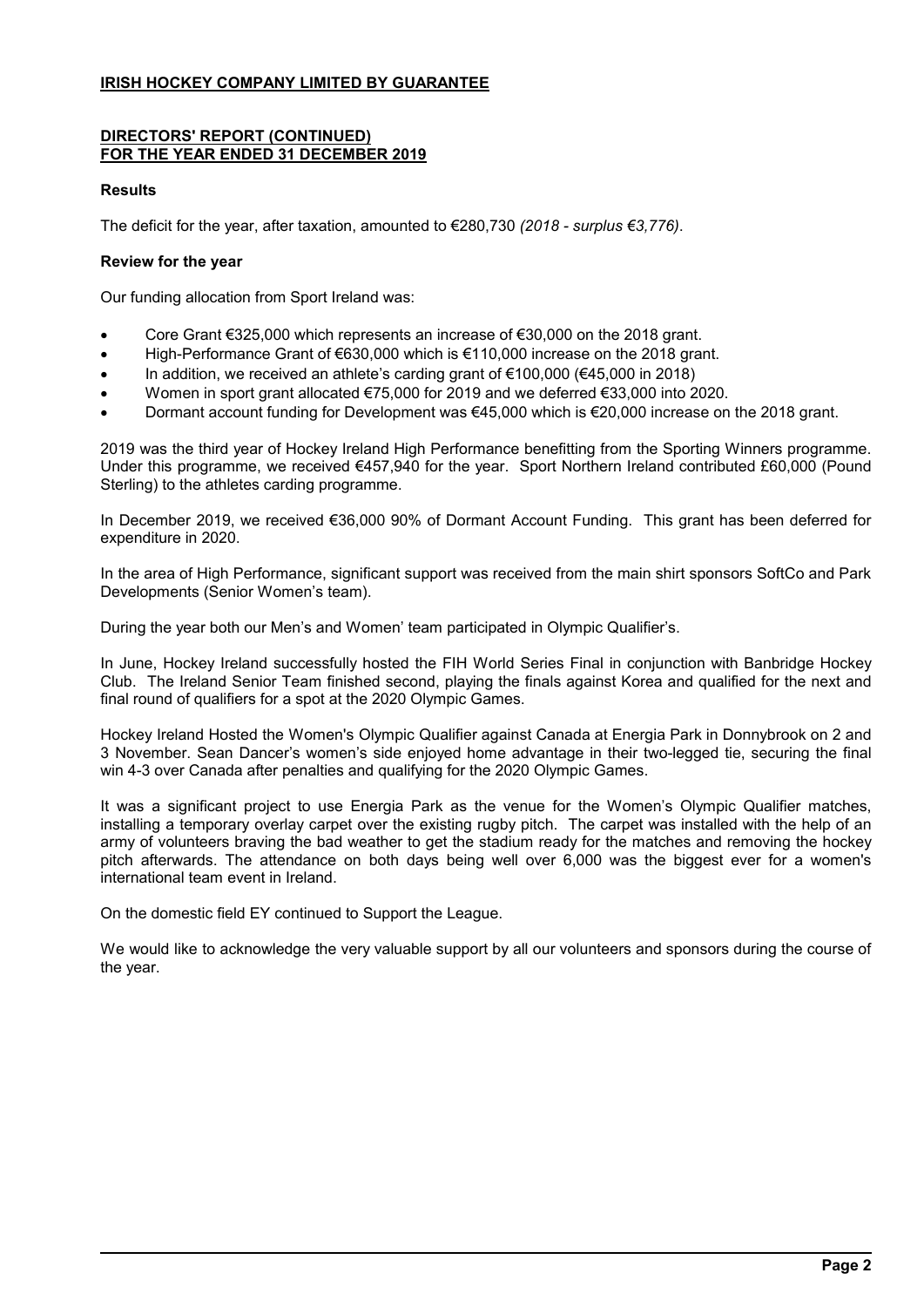### **DIRECTORS' REPORT (CONTINUED) FOR THE YEAR ENDED 31 DECEMBER 2019**

### **Results**

The deficit for the year, after taxation, amounted to €280,730 *(2018 - surplus €3,776)*.

### **Review for the year**

Our funding allocation from Sport Ireland was:

- Core Grant €325,000 which represents an increase of €30,000 on the 2018 grant.
- High-Performance Grant of €630,000 which is €110,000 increase on the 2018 grant.
- In addition, we received an athlete's carding grant of €100,000 (€45,000 in 2018)
- Women in sport grant allocated €75,000 for 2019 and we deferred €33,000 into 2020.
- Dormant account funding for Development was €45,000 which is €20,000 increase on the 2018 grant.

2019 was the third year of Hockey Ireland High Performance benefitting from the Sporting Winners programme. Under this programme, we received €457,940 for the year. Sport Northern Ireland contributed £60,000 (Pound Sterling) to the athletes carding programme.

In December 2019, we received €36,000 90% of Dormant Account Funding. This grant has been deferred for expenditure in 2020.

In the area of High Performance, significant support was received from the main shirt sponsors SoftCo and Park Developments (Senior Women's team).

During the year both our Men's and Women' team participated in Olympic Qualifier's.

In June, Hockey Ireland successfully hosted the FIH World Series Final in conjunction with Banbridge Hockey Club. The Ireland Senior Team finished second, playing the finals against Korea and qualified for the next and final round of qualifiers for a spot at the 2020 Olympic Games.

Hockey Ireland Hosted the Women's Olympic Qualifier against Canada at Energia Park in Donnybrook on 2 and 3 November. Sean Dancer's women's side enjoyed home advantage in their two-legged tie, securing the final win 4-3 over Canada after penalties and qualifying for the 2020 Olympic Games.

It was a significant project to use Energia Park as the venue for the Women's Olympic Qualifier matches, installing a temporary overlay carpet over the existing rugby pitch. The carpet was installed with the help of an army of volunteers braving the bad weather to get the stadium ready for the matches and removing the hockey pitch afterwards. The attendance on both days being well over 6,000 was the biggest ever for a women's international team event in Ireland.

On the domestic field EY continued to Support the League.

We would like to acknowledge the very valuable support by all our volunteers and sponsors during the course of the year.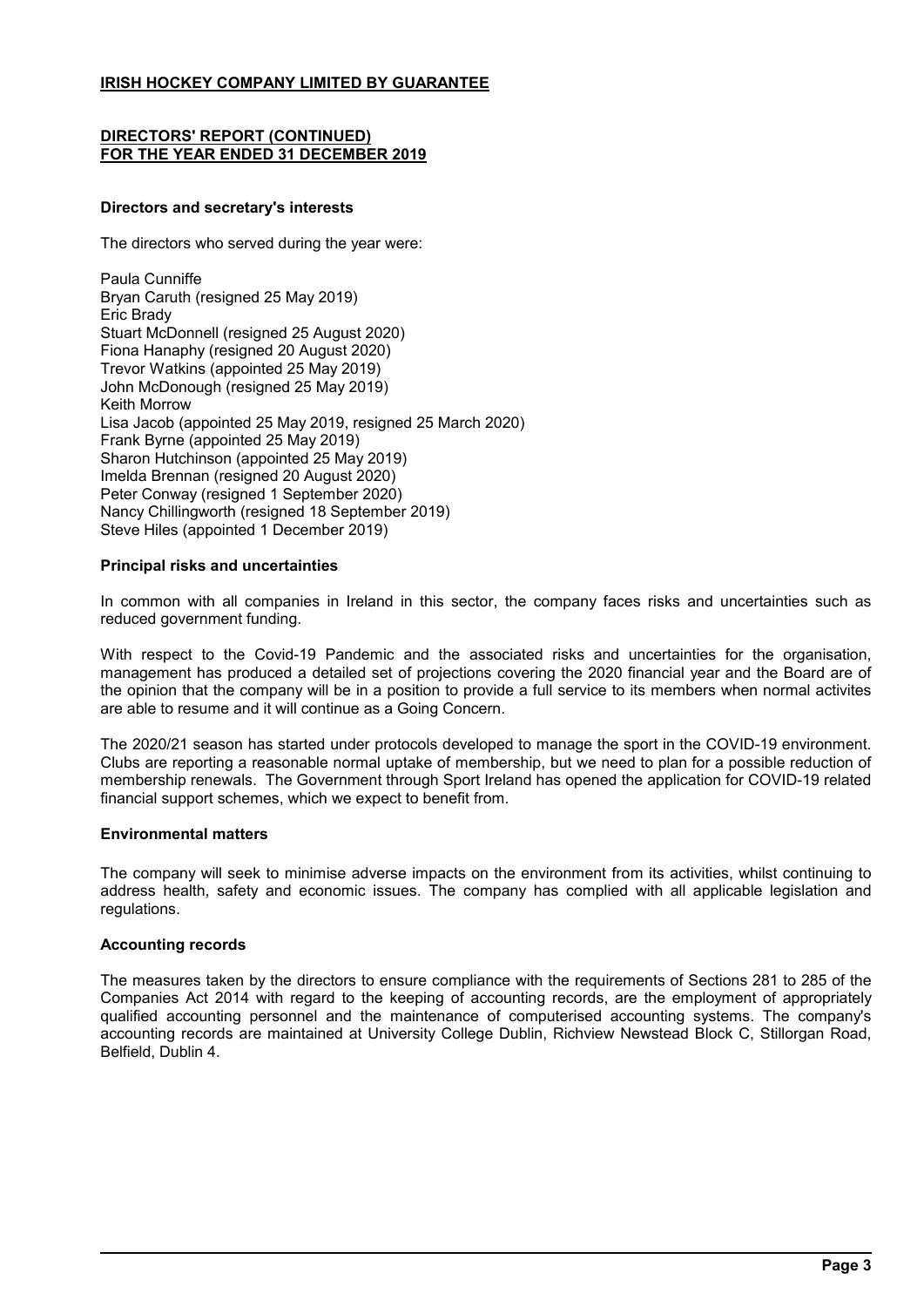#### **DIRECTORS' REPORT (CONTINUED) FOR THE YEAR ENDED 31 DECEMBER 2019**

#### **Directors and secretary's interests**

The directors who served during the year were:

Paula Cunniffe Bryan Caruth (resigned 25 May 2019) Eric Brady Stuart McDonnell (resigned 25 August 2020) Fiona Hanaphy (resigned 20 August 2020) Trevor Watkins (appointed 25 May 2019) John McDonough (resigned 25 May 2019) Keith Morrow Lisa Jacob (appointed 25 May 2019, resigned 25 March 2020) Frank Byrne (appointed 25 May 2019) Sharon Hutchinson (appointed 25 May 2019) Imelda Brennan (resigned 20 August 2020) Peter Conway (resigned 1 September 2020) Nancy Chillingworth (resigned 18 September 2019) Steve Hiles (appointed 1 December 2019)

#### **Principal risks and uncertainties**

In common with all companies in Ireland in this sector, the company faces risks and uncertainties such as reduced government funding.

With respect to the Covid-19 Pandemic and the associated risks and uncertainties for the organisation, management has produced a detailed set of projections covering the 2020 financial year and the Board are of the opinion that the company will be in a position to provide a full service to its members when normal activites are able to resume and it will continue as a Going Concern.

The 2020/21 season has started under protocols developed to manage the sport in the COVID-19 environment. Clubs are reporting a reasonable normal uptake of membership, but we need to plan for a possible reduction of membership renewals. The Government through Sport Ireland has opened the application for COVID-19 related financial support schemes, which we expect to benefit from.

#### **Environmental matters**

The company will seek to minimise adverse impacts on the environment from its activities, whilst continuing to address health, safety and economic issues. The company has complied with all applicable legislation and regulations.

#### **Accounting records**

The measures taken by the directors to ensure compliance with the requirements of Sections 281 to 285 of the Companies Act 2014 with regard to the keeping of accounting records, are the employment of appropriately qualified accounting personnel and the maintenance of computerised accounting systems. The company's accounting records are maintained at University College Dublin, Richview Newstead Block C, Stillorgan Road, Belfield, Dublin 4.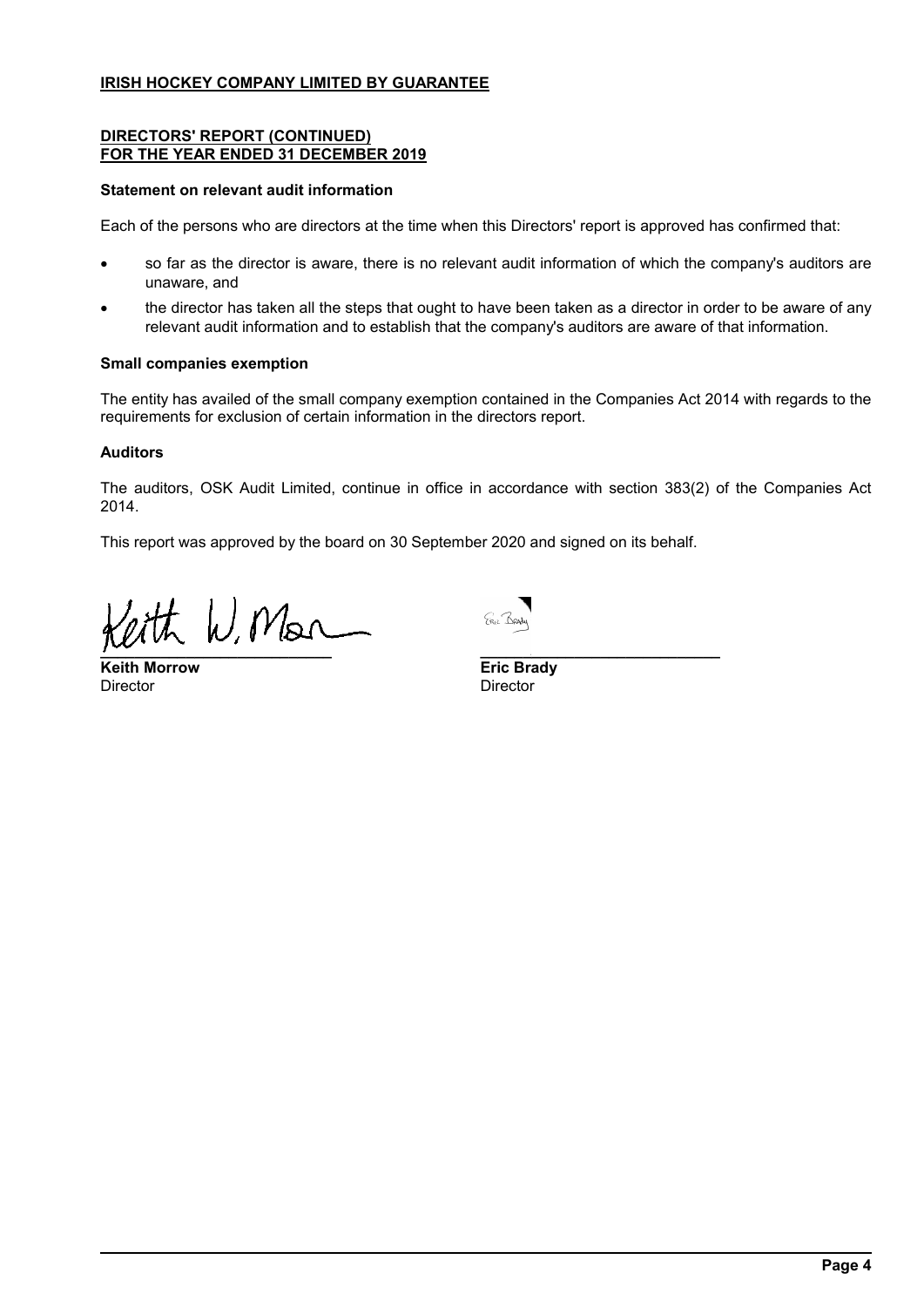### **DIRECTORS' REPORT (CONTINUED) FOR THE YEAR ENDED 31 DECEMBER 2019**

#### **Statement on relevant audit information**

Each of the persons who are directors at the time when this Directors' report is approved has confirmed that:

- so far as the director is aware, there is no relevant audit information of which the company's auditors are unaware, and
- the director has taken all the steps that ought to have been taken as a director in order to be aware of any relevant audit information and to establish that the company's auditors are aware of that information.

#### **Small companies exemption**

The entity has availed of the small company exemption contained in the Companies Act 2014 with regards to the requirements for exclusion of certain information in the directors report.

#### **Auditors**

The auditors, OSK Audit Limited, continue in office in accordance with section 383(2) of the Companies Act 2014.

This report was approved by the board on 30 September 2020 and signed on its behalf.

**\_\_\_\_\_\_\_\_\_\_\_\_\_\_\_\_\_\_\_\_\_\_\_\_\_\_\_**



**Keith Morrow Director** 

**Eric Brady Director** 

**\_\_\_\_\_\_\_\_\_\_\_\_\_\_\_\_\_\_\_\_\_\_\_\_\_\_\_\_**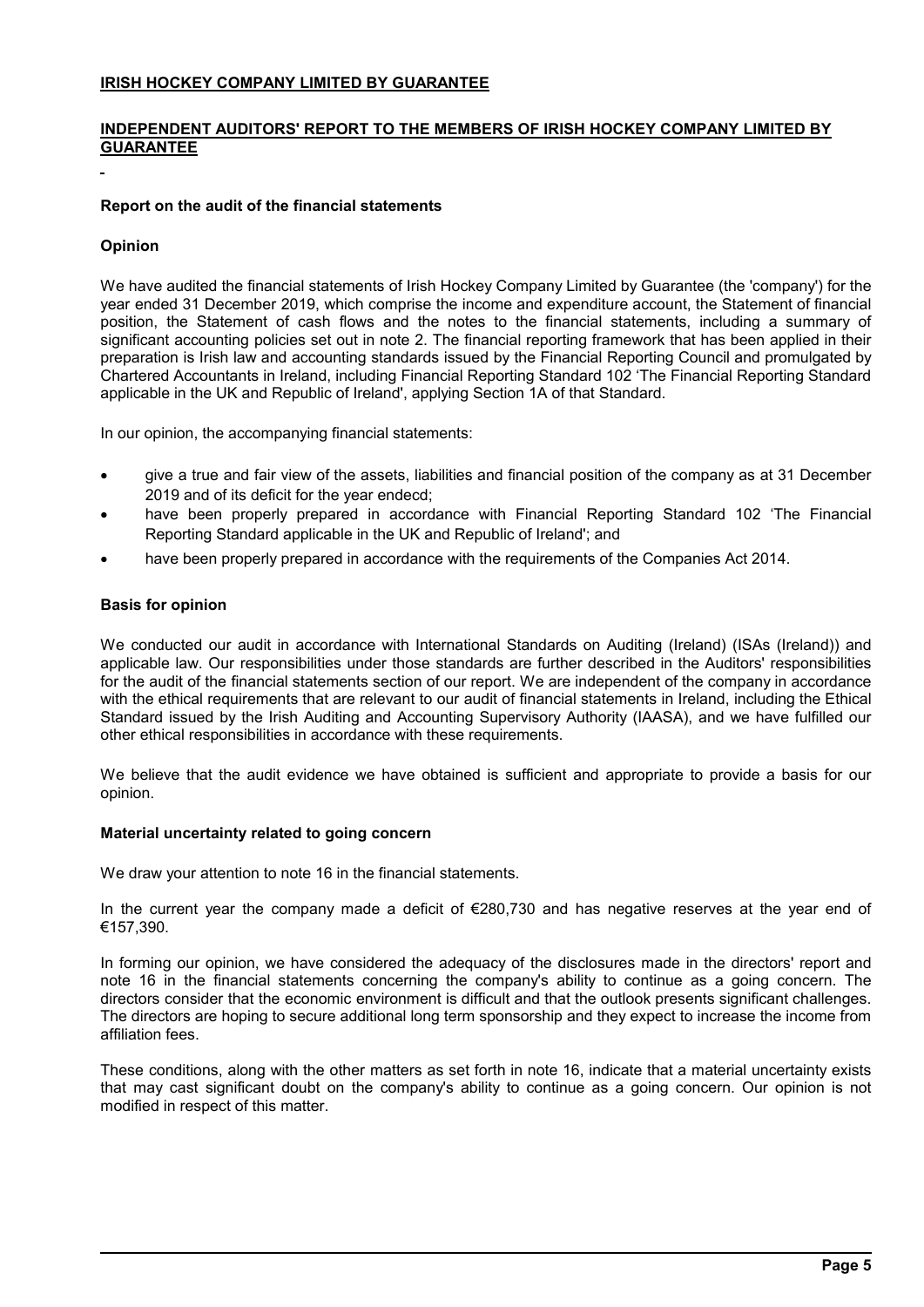#### **INDEPENDENT AUDITORS' REPORT TO THE MEMBERS OF IRISH HOCKEY COMPANY LIMITED BY GUARANTEE**

#### **Report on the audit of the financial statements**

#### **Opinion**

We have audited the financial statements of Irish Hockey Company Limited by Guarantee (the 'company') for the year ended 31 December 2019, which comprise the income and expenditure account, the Statement of financial position, the Statement of cash flows and the notes to the financial statements, including a summary of significant accounting policies set out in note 2. The financial reporting framework that has been applied in their preparation is Irish law and accounting standards issued by the Financial Reporting Council and promulgated by Chartered Accountants in Ireland, including Financial Reporting Standard 102 'The Financial Reporting Standard applicable in the UK and Republic of Ireland', applying Section 1A of that Standard.

In our opinion, the accompanying financial statements:

- give a true and fair view of the assets, liabilities and financial position of the company as at 31 December 2019 and of its deficit for the year endecd;
- have been properly prepared in accordance with Financial Reporting Standard 102 'The Financial Reporting Standard applicable in the UK and Republic of Ireland'; and
- have been properly prepared in accordance with the requirements of the Companies Act 2014.

#### **Basis for opinion**

We conducted our audit in accordance with International Standards on Auditing (Ireland) (ISAs (Ireland)) and applicable law. Our responsibilities under those standards are further described in the Auditors' responsibilities for the audit of the financial statements section of our report. We are independent of the company in accordance with the ethical requirements that are relevant to our audit of financial statements in Ireland, including the Ethical Standard issued by the Irish Auditing and Accounting Supervisory Authority (IAASA), and we have fulfilled our other ethical responsibilities in accordance with these requirements.

We believe that the audit evidence we have obtained is sufficient and appropriate to provide a basis for our opinion.

#### **Material uncertainty related to going concern**

We draw your attention to note 16 in the financial statements.

In the current year the company made a deficit of €280,730 and has negative reserves at the year end of €157,390.

In forming our opinion, we have considered the adequacy of the disclosures made in the directors' report and note 16 in the financial statements concerning the company's ability to continue as a going concern. The directors consider that the economic environment is difficult and that the outlook presents significant challenges. The directors are hoping to secure additional long term sponsorship and they expect to increase the income from affiliation fees.

These conditions, along with the other matters as set forth in note 16, indicate that a material uncertainty exists that may cast significant doubt on the company's ability to continue as a going concern. Our opinion is not modified in respect of this matter.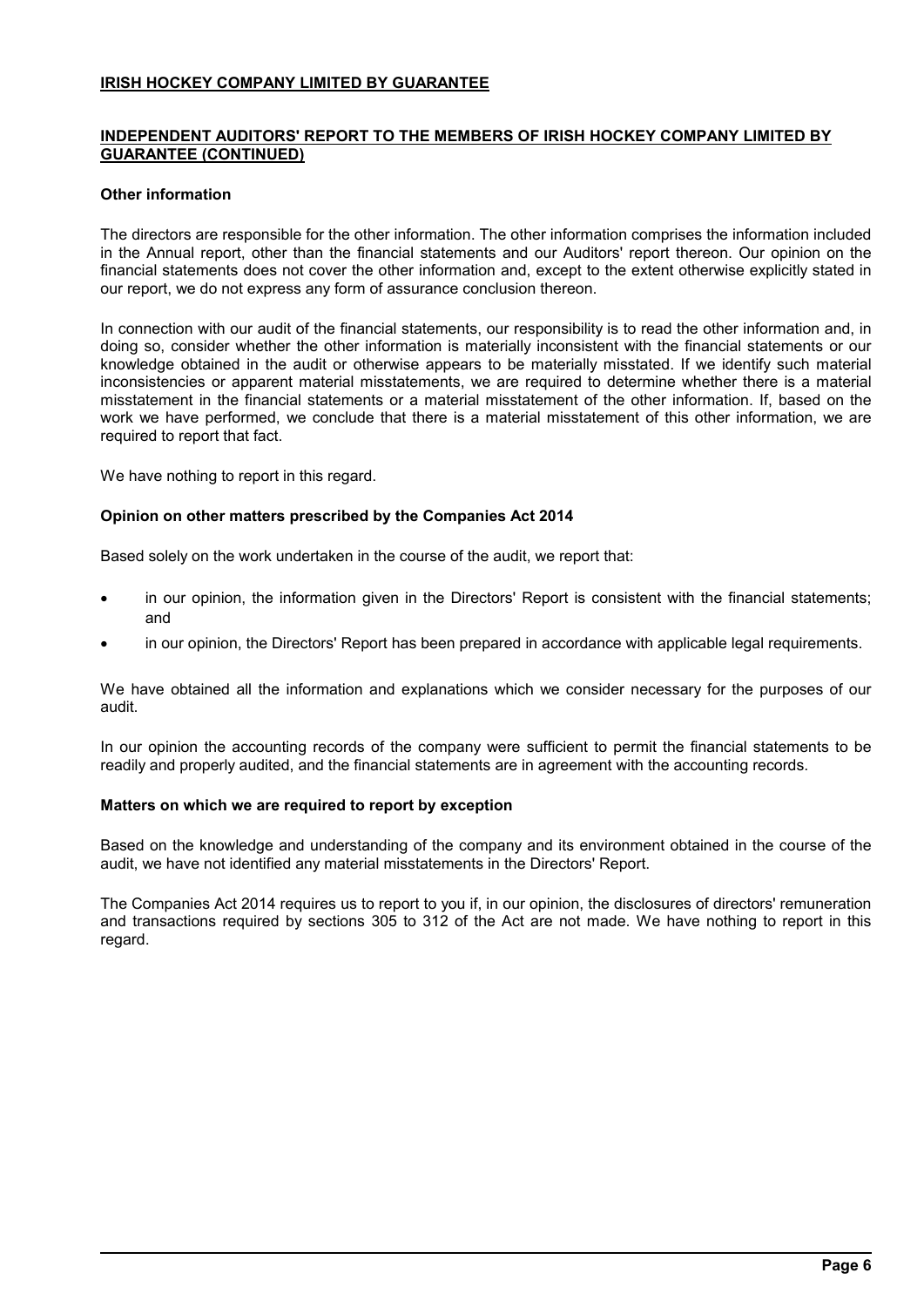#### **INDEPENDENT AUDITORS' REPORT TO THE MEMBERS OF IRISH HOCKEY COMPANY LIMITED BY GUARANTEE (CONTINUED)**

#### **Other information**

The directors are responsible for the other information. The other information comprises the information included in the Annual report, other than the financial statements and our Auditors' report thereon. Our opinion on the financial statements does not cover the other information and, except to the extent otherwise explicitly stated in our report, we do not express any form of assurance conclusion thereon.

In connection with our audit of the financial statements, our responsibility is to read the other information and, in doing so, consider whether the other information is materially inconsistent with the financial statements or our knowledge obtained in the audit or otherwise appears to be materially misstated. If we identify such material inconsistencies or apparent material misstatements, we are required to determine whether there is a material misstatement in the financial statements or a material misstatement of the other information. If, based on the work we have performed, we conclude that there is a material misstatement of this other information, we are required to report that fact.

We have nothing to report in this regard.

#### **Opinion on other matters prescribed by the Companies Act 2014**

Based solely on the work undertaken in the course of the audit, we report that:

- in our opinion, the information given in the Directors' Report is consistent with the financial statements; and
- in our opinion, the Directors' Report has been prepared in accordance with applicable legal requirements.

We have obtained all the information and explanations which we consider necessary for the purposes of our audit.

In our opinion the accounting records of the company were sufficient to permit the financial statements to be readily and properly audited, and the financial statements are in agreement with the accounting records.

#### **Matters on which we are required to report by exception**

Based on the knowledge and understanding of the company and its environment obtained in the course of the audit, we have not identified any material misstatements in the Directors' Report.

The Companies Act 2014 requires us to report to you if, in our opinion, the disclosures of directors' remuneration and transactions required by sections 305 to 312 of the Act are not made. We have nothing to report in this regard.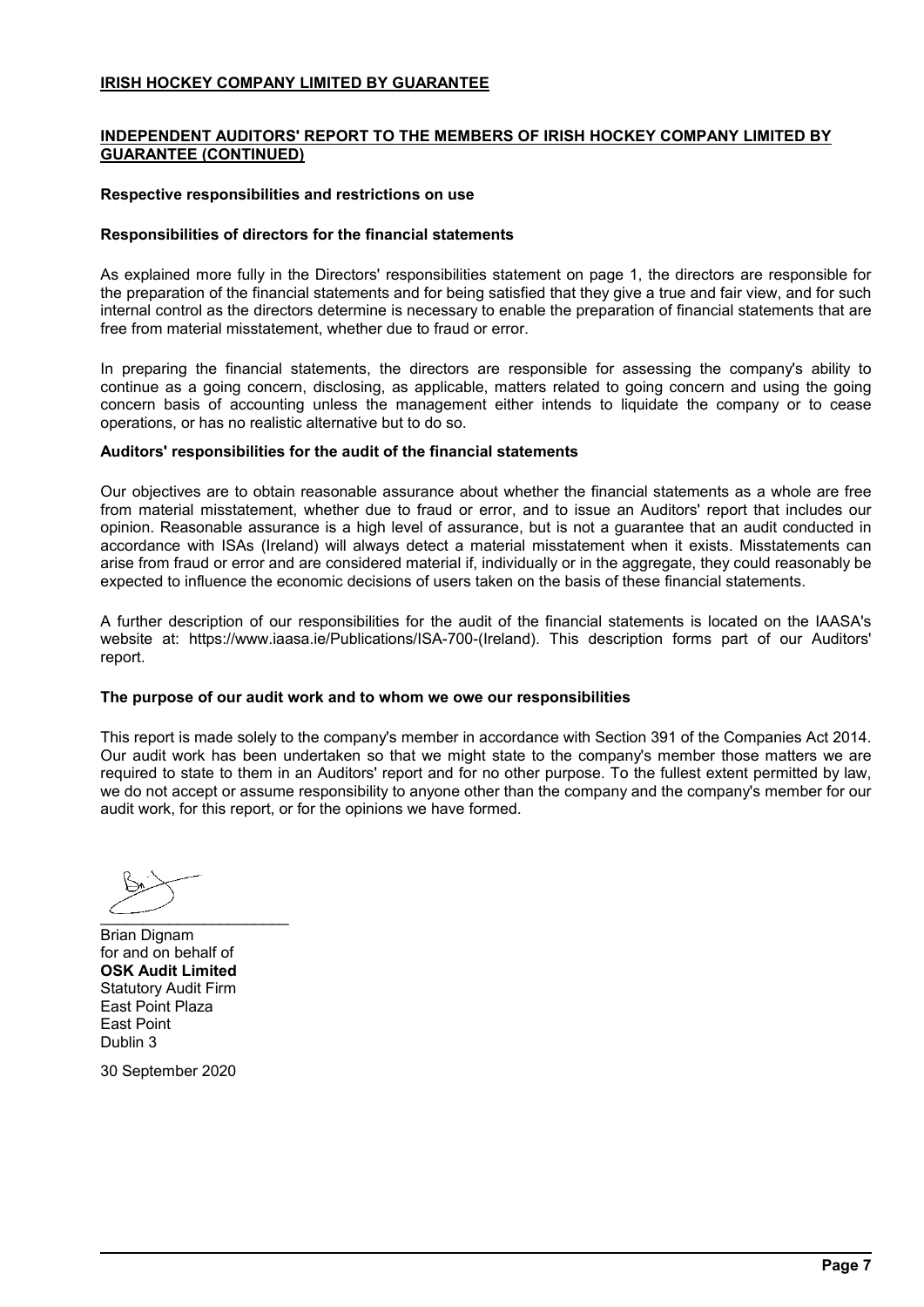#### **INDEPENDENT AUDITORS' REPORT TO THE MEMBERS OF IRISH HOCKEY COMPANY LIMITED BY GUARANTEE (CONTINUED)**

#### **Respective responsibilities and restrictions on use**

#### **Responsibilities of directors for the financial statements**

As explained more fully in the Directors' responsibilities statement on page 1, the directors are responsible for the preparation of the financial statements and for being satisfied that they give a true and fair view, and for such internal control as the directors determine is necessary to enable the preparation of financial statements that are free from material misstatement, whether due to fraud or error.

In preparing the financial statements, the directors are responsible for assessing the company's ability to continue as a going concern, disclosing, as applicable, matters related to going concern and using the going concern basis of accounting unless the management either intends to liquidate the company or to cease operations, or has no realistic alternative but to do so.

#### **Auditors' responsibilities for the audit of the financial statements**

Our objectives are to obtain reasonable assurance about whether the financial statements as a whole are free from material misstatement, whether due to fraud or error, and to issue an Auditors' report that includes our opinion. Reasonable assurance is a high level of assurance, but is not a guarantee that an audit conducted in accordance with ISAs (Ireland) will always detect a material misstatement when it exists. Misstatements can arise from fraud or error and are considered material if, individually or in the aggregate, they could reasonably be expected to influence the economic decisions of users taken on the basis of these financial statements.

A further description of our responsibilities for the audit of the financial statements is located on the IAASA's website at: https://www.iaasa.ie/Publications/ISA-700-(Ireland). This description forms part of our Auditors' report.

#### **The purpose of our audit work and to whom we owe our responsibilities**

This report is made solely to the company's member in accordance with Section 391 of the Companies Act 2014. Our audit work has been undertaken so that we might state to the company's member those matters we are required to state to them in an Auditors' report and for no other purpose. To the fullest extent permitted by law, we do not accept or assume responsibility to anyone other than the company and the company's member for our audit work, for this report, or for the opinions we have formed.

 $\overline{\phantom{a}}$ 

Brian Dignam for and on behalf of **OSK Audit Limited** Statutory Audit Firm East Point Plaza East Point Dublin 3

30 September 2020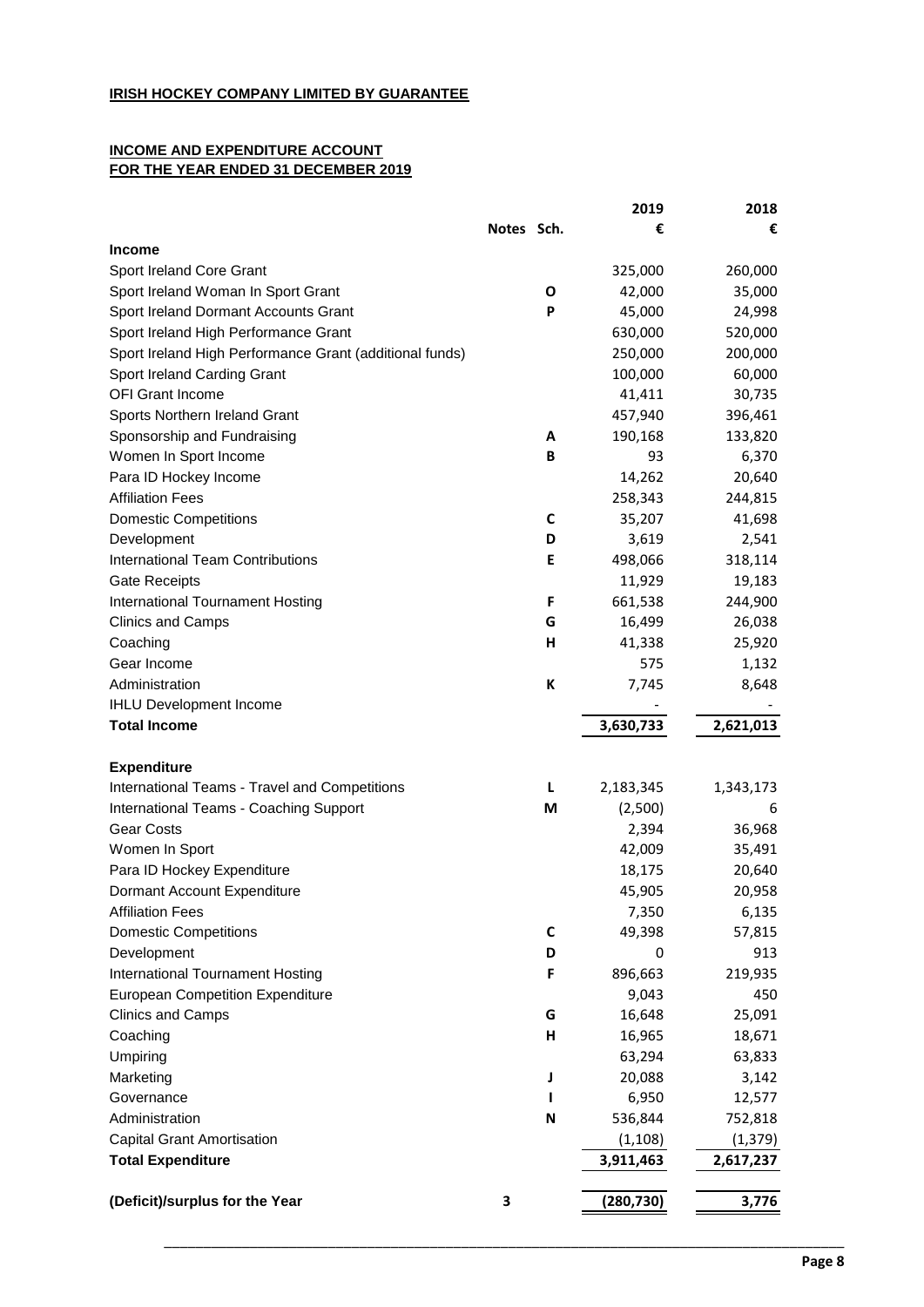### **INCOME AND EXPENDITURE ACCOUNT** FOR THE YEAR ENDED 31 DECEMBER 2019

|                                                               |            | 2019                  | 2018                  |
|---------------------------------------------------------------|------------|-----------------------|-----------------------|
|                                                               | Notes Sch. | €                     | €                     |
| <b>Income</b>                                                 |            |                       |                       |
| Sport Ireland Core Grant                                      |            | 325,000               | 260,000               |
| Sport Ireland Woman In Sport Grant                            | O          | 42,000                | 35,000                |
| Sport Ireland Dormant Accounts Grant                          | P          | 45,000                | 24,998                |
| Sport Ireland High Performance Grant                          |            | 630,000               | 520,000               |
| Sport Ireland High Performance Grant (additional funds)       |            | 250,000               | 200,000               |
| Sport Ireland Carding Grant                                   |            | 100,000               | 60,000                |
| OFI Grant Income                                              |            | 41,411                | 30,735                |
| Sports Northern Ireland Grant                                 |            | 457,940               | 396,461               |
| Sponsorship and Fundraising                                   | Α          | 190,168               | 133,820               |
| Women In Sport Income                                         | В          | 93                    | 6,370                 |
| Para ID Hockey Income                                         |            | 14,262                | 20,640                |
| <b>Affiliation Fees</b>                                       |            | 258,343               | 244,815               |
| <b>Domestic Competitions</b>                                  | C          | 35,207                | 41,698                |
| Development                                                   | D          | 3,619                 | 2,541                 |
| <b>International Team Contributions</b>                       | E          | 498,066               | 318,114               |
| <b>Gate Receipts</b>                                          |            | 11,929                | 19,183                |
| International Tournament Hosting                              | F          | 661,538               | 244,900               |
| <b>Clinics and Camps</b>                                      | G          | 16,499                | 26,038                |
| Coaching                                                      | н          | 41,338                | 25,920                |
| Gear Income                                                   |            | 575                   | 1,132                 |
| Administration                                                | К          | 7,745                 | 8,648                 |
| <b>IHLU Development Income</b>                                |            |                       |                       |
|                                                               |            |                       |                       |
| <b>Total Income</b>                                           |            | 3,630,733             | 2,621,013             |
|                                                               |            |                       |                       |
| <b>Expenditure</b>                                            | L          |                       |                       |
| International Teams - Travel and Competitions                 | М          | 2,183,345             | 1,343,173<br>6        |
| International Teams - Coaching Support<br><b>Gear Costs</b>   |            | (2,500)               |                       |
|                                                               |            | 2,394                 | 36,968                |
| Women In Sport                                                |            | 42,009                | 35,491                |
| Para ID Hockey Expenditure                                    |            | 18,175                | 20,640                |
| Dormant Account Expenditure                                   |            | 45,905                | 20,958                |
| <b>Affiliation Fees</b>                                       |            | 7,350                 | 6,135                 |
| <b>Domestic Competitions</b>                                  | C<br>D     | 49,398<br>0           | 57,815                |
| Development                                                   | F          |                       | 913                   |
| International Tournament Hosting                              |            | 896,663               | 219,935               |
| <b>European Competition Expenditure</b>                       | G          | 9,043                 | 450                   |
| <b>Clinics and Camps</b>                                      |            | 16,648                | 25,091                |
| Coaching                                                      | н          | 16,965                | 18,671                |
| Umpiring                                                      |            | 63,294                | 63,833                |
| Marketing                                                     | J          | 20,088                | 3,142                 |
| Governance                                                    | ı          | 6,950                 | 12,577                |
| Administration                                                | N          | 536,844               | 752,818               |
| <b>Capital Grant Amortisation</b><br><b>Total Expenditure</b> |            | (1, 108)<br>3,911,463 | (1, 379)<br>2,617,237 |
| (Deficit)/surplus for the Year                                | 3          | (280,730)             | 3,776                 |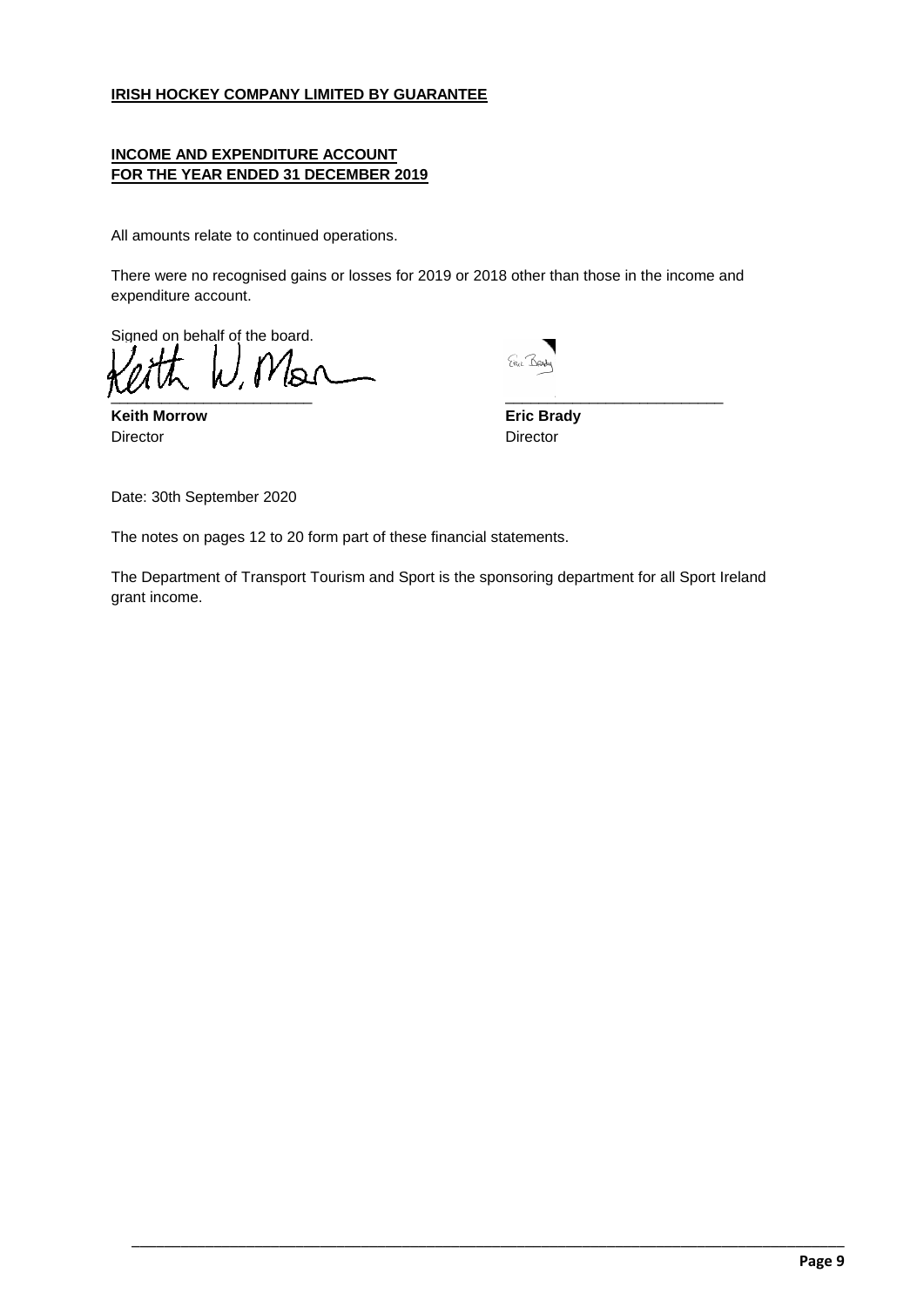### **INCOME AND EXPENDITURE ACCOUNT** FOR THE YEAR ENDED 31 DECEMBER 2019

All amounts relate to continued operations.

There were no recognised gains or losses for 2019 or 2018 other than those in the income and expenditure account.

Signed on behalf of the board.  $W, M$ an

**Keith Morrow** Director

**Eric Brady** Director

Date: 30th September 2020

The notes on pages 12 to 20 form part of these financial statements.

The Department of Transport Tourism and Sport is the sponsoring department for all Sport Ireland grant income.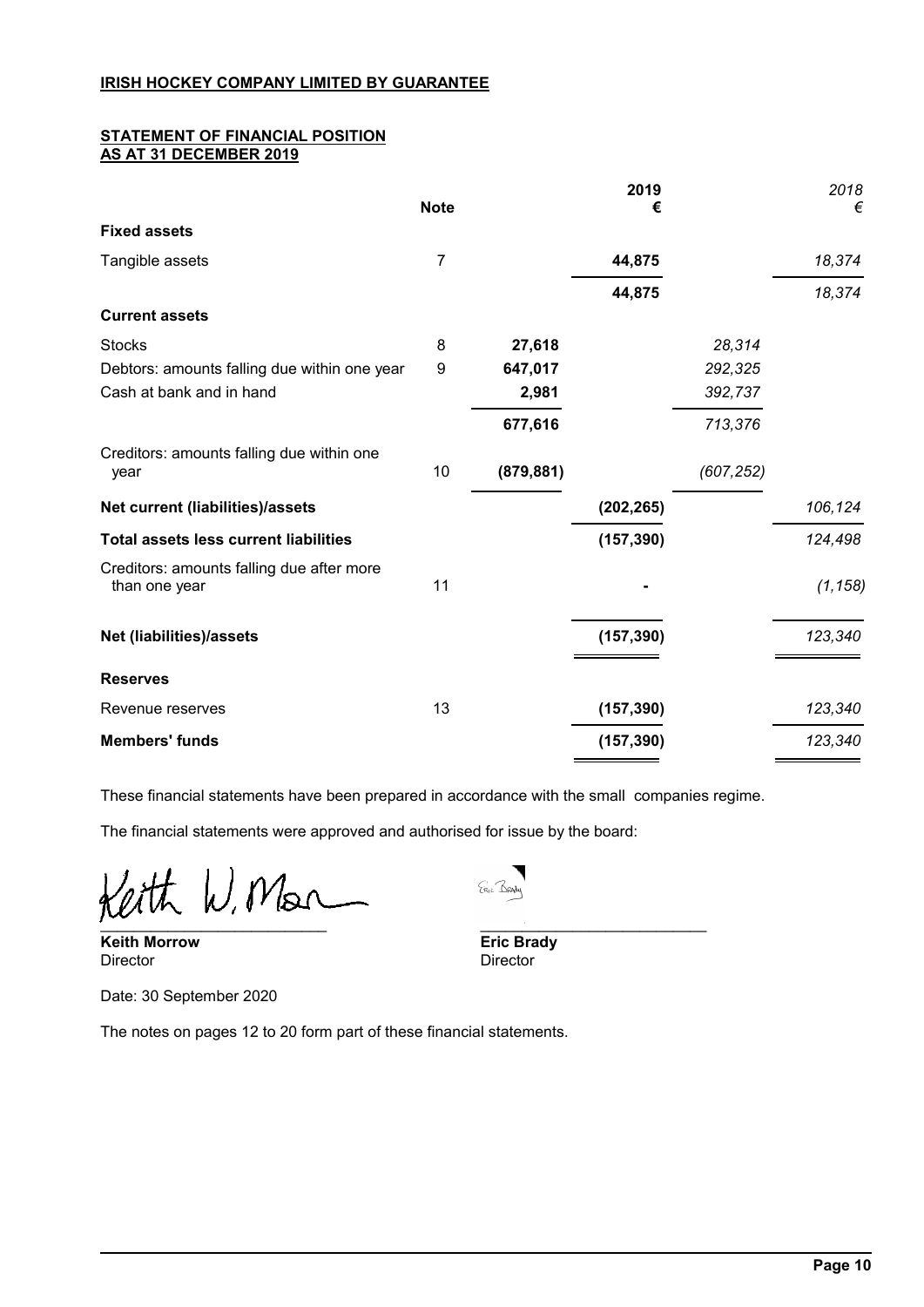### **STATEMENT OF FINANCIAL POSITION AS AT 31 DECEMBER 2019**

|                                              | <b>Note</b> |            | 2019<br>€  |            | 2018<br>€ |
|----------------------------------------------|-------------|------------|------------|------------|-----------|
| <b>Fixed assets</b>                          |             |            |            |            |           |
| Tangible assets                              | 7           |            | 44,875     |            | 18,374    |
|                                              |             |            |            |            |           |
| <b>Current assets</b>                        |             |            | 44,875     |            | 18,374    |
|                                              |             |            |            |            |           |
| <b>Stocks</b>                                | 8           | 27,618     |            | 28,314     |           |
| Debtors: amounts falling due within one year | 9           | 647,017    |            | 292,325    |           |
| Cash at bank and in hand                     |             | 2,981      |            | 392,737    |           |
|                                              |             | 677,616    |            | 713,376    |           |
| Creditors: amounts falling due within one    |             |            |            |            |           |
| year                                         | 10          | (879, 881) |            | (607, 252) |           |
| <b>Net current (liabilities)/assets</b>      |             |            | (202, 265) |            | 106,124   |
| <b>Total assets less current liabilities</b> |             |            | (157, 390) |            | 124,498   |
| Creditors: amounts falling due after more    |             |            |            |            |           |
| than one year                                | 11          |            |            |            | (1, 158)  |
| Net (liabilities)/assets                     |             |            | (157, 390) |            | 123,340   |
|                                              |             |            |            |            |           |
| <b>Reserves</b>                              |             |            |            |            |           |
| Revenue reserves                             | 13          |            | (157, 390) |            | 123,340   |
| <b>Members' funds</b>                        |             |            | (157, 390) |            | 123,340   |
|                                              |             |            |            |            |           |

These financial statements have been prepared in accordance with the small companies regime.

The financial statements were approved and authorised for issue by the board:

 $\overline{\phantom{a}}$ 

**Keith Morrow**

Date: 30 September 2020

The notes on pages 12 to 20 form part of these financial statements.

Eric Brady

**Eric Brady** Director **Director** Director

\_\_\_\_\_\_\_\_\_\_\_\_\_\_\_\_\_\_\_\_\_\_\_\_\_\_\_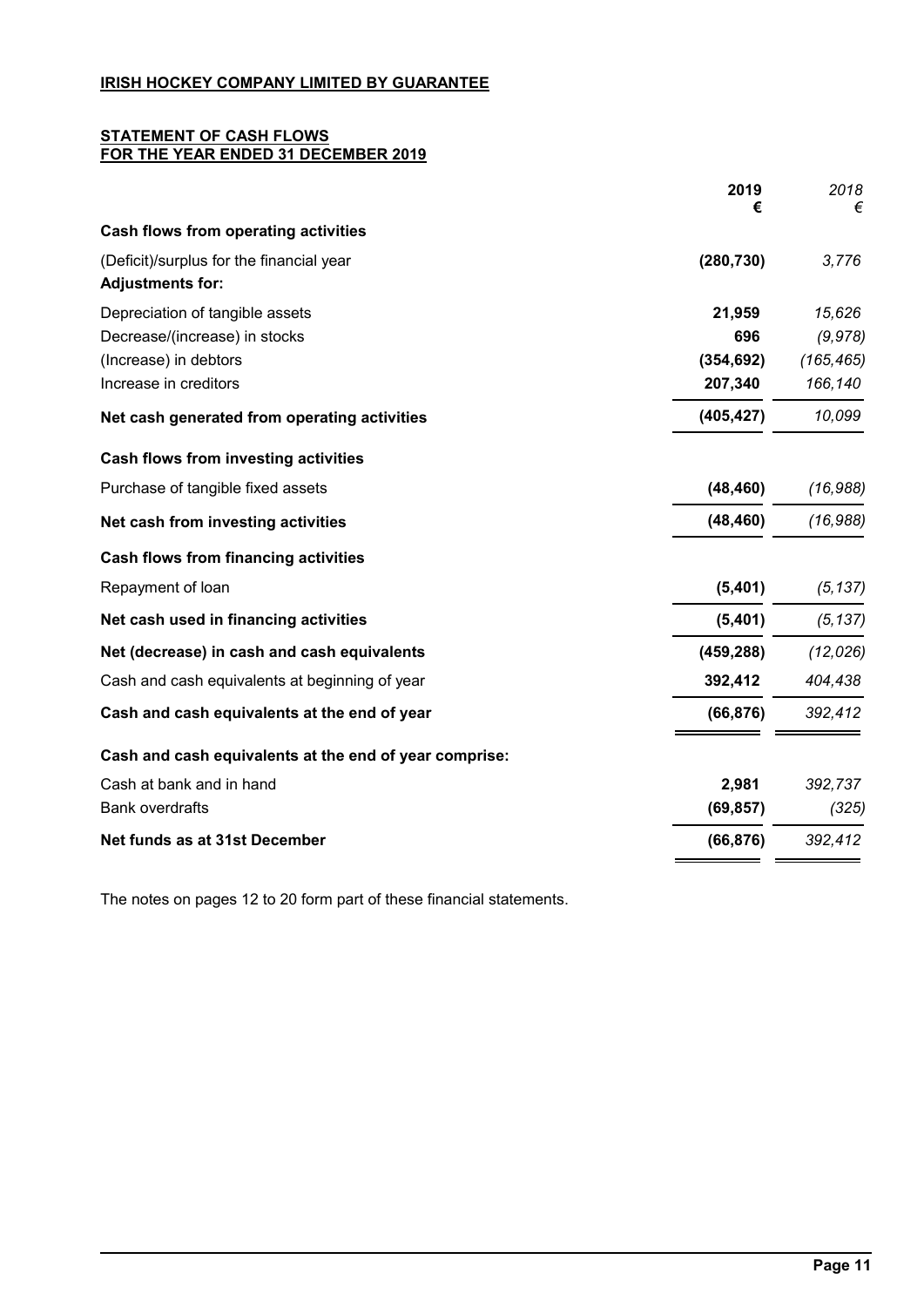### **STATEMENT OF CASH FLOWS FOR THE YEAR ENDED 31 DECEMBER 2019**

|                                                                     | 2019<br>€  | 2018<br>€  |
|---------------------------------------------------------------------|------------|------------|
| Cash flows from operating activities                                |            |            |
| (Deficit)/surplus for the financial year<br><b>Adjustments for:</b> | (280, 730) | 3,776      |
| Depreciation of tangible assets                                     | 21,959     | 15,626     |
| Decrease/(increase) in stocks                                       | 696        | (9, 978)   |
| (Increase) in debtors                                               | (354, 692) | (165, 465) |
| Increase in creditors                                               | 207,340    | 166,140    |
| Net cash generated from operating activities                        | (405, 427) | 10,099     |
| Cash flows from investing activities                                |            |            |
| Purchase of tangible fixed assets                                   | (48, 460)  | (16, 988)  |
| Net cash from investing activities                                  | (48, 460)  | (16, 988)  |
| <b>Cash flows from financing activities</b>                         |            |            |
| Repayment of loan                                                   | (5,401)    | (5, 137)   |
| Net cash used in financing activities                               | (5,401)    | (5, 137)   |
| Net (decrease) in cash and cash equivalents                         | (459, 288) | (12, 026)  |
| Cash and cash equivalents at beginning of year                      | 392,412    | 404,438    |
| Cash and cash equivalents at the end of year                        | (66, 876)  | 392,412    |
| Cash and cash equivalents at the end of year comprise:              |            |            |
| Cash at bank and in hand                                            | 2,981      | 392,737    |
| <b>Bank overdrafts</b>                                              | (69, 857)  | (325)      |
| Net funds as at 31st December                                       | (66, 876)  | 392,412    |
|                                                                     |            |            |

The notes on pages 12 to 20 form part of these financial statements.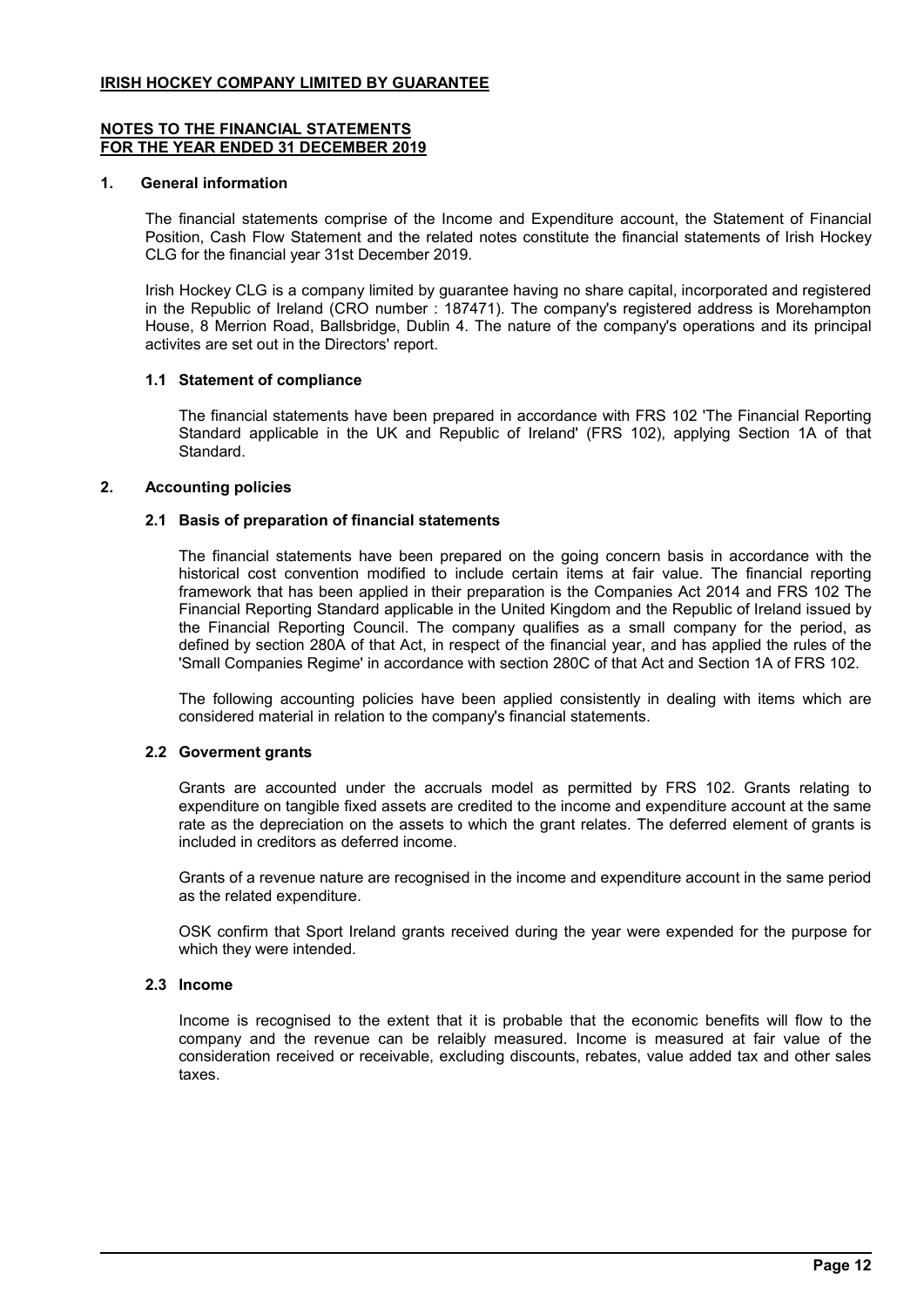#### **NOTES TO THE FINANCIAL STATEMENTS FOR THE YEAR ENDED 31 DECEMBER 2019**

#### **1. General information**

The financial statements comprise of the Income and Expenditure account, the Statement of Financial Position, Cash Flow Statement and the related notes constitute the financial statements of Irish Hockey CLG for the financial year 31st December 2019.

Irish Hockey CLG is a company limited by guarantee having no share capital, incorporated and registered in the Republic of Ireland (CRO number : 187471). The company's registered address is Morehampton House, 8 Merrion Road, Ballsbridge, Dublin 4. The nature of the company's operations and its principal activites are set out in the Directors' report.

#### **1.1 Statement of compliance**

The financial statements have been prepared in accordance with FRS 102 'The Financial Reporting Standard applicable in the UK and Republic of Ireland' (FRS 102), applying Section 1A of that Standard.

#### **2. Accounting policies**

#### **2.1 Basis of preparation of financial statements**

The financial statements have been prepared on the going concern basis in accordance with the historical cost convention modified to include certain items at fair value. The financial reporting framework that has been applied in their preparation is the Companies Act 2014 and FRS 102 The Financial Reporting Standard applicable in the United Kingdom and the Republic of Ireland issued by the Financial Reporting Council. The company qualifies as a small company for the period, as defined by section 280A of that Act, in respect of the financial year, and has applied the rules of the 'Small Companies Regime' in accordance with section 280C of that Act and Section 1A of FRS 102.

The following accounting policies have been applied consistently in dealing with items which are considered material in relation to the company's financial statements.

#### **2.2 Goverment grants**

Grants are accounted under the accruals model as permitted by FRS 102. Grants relating to expenditure on tangible fixed assets are credited to the income and expenditure account at the same rate as the depreciation on the assets to which the grant relates. The deferred element of grants is included in creditors as deferred income.

Grants of a revenue nature are recognised in the income and expenditure account in the same period as the related expenditure.

OSK confirm that Sport Ireland grants received during the year were expended for the purpose for which they were intended.

#### **2.3 Income**

Income is recognised to the extent that it is probable that the economic benefits will flow to the company and the revenue can be relaibly measured. Income is measured at fair value of the consideration received or receivable, excluding discounts, rebates, value added tax and other sales taxes.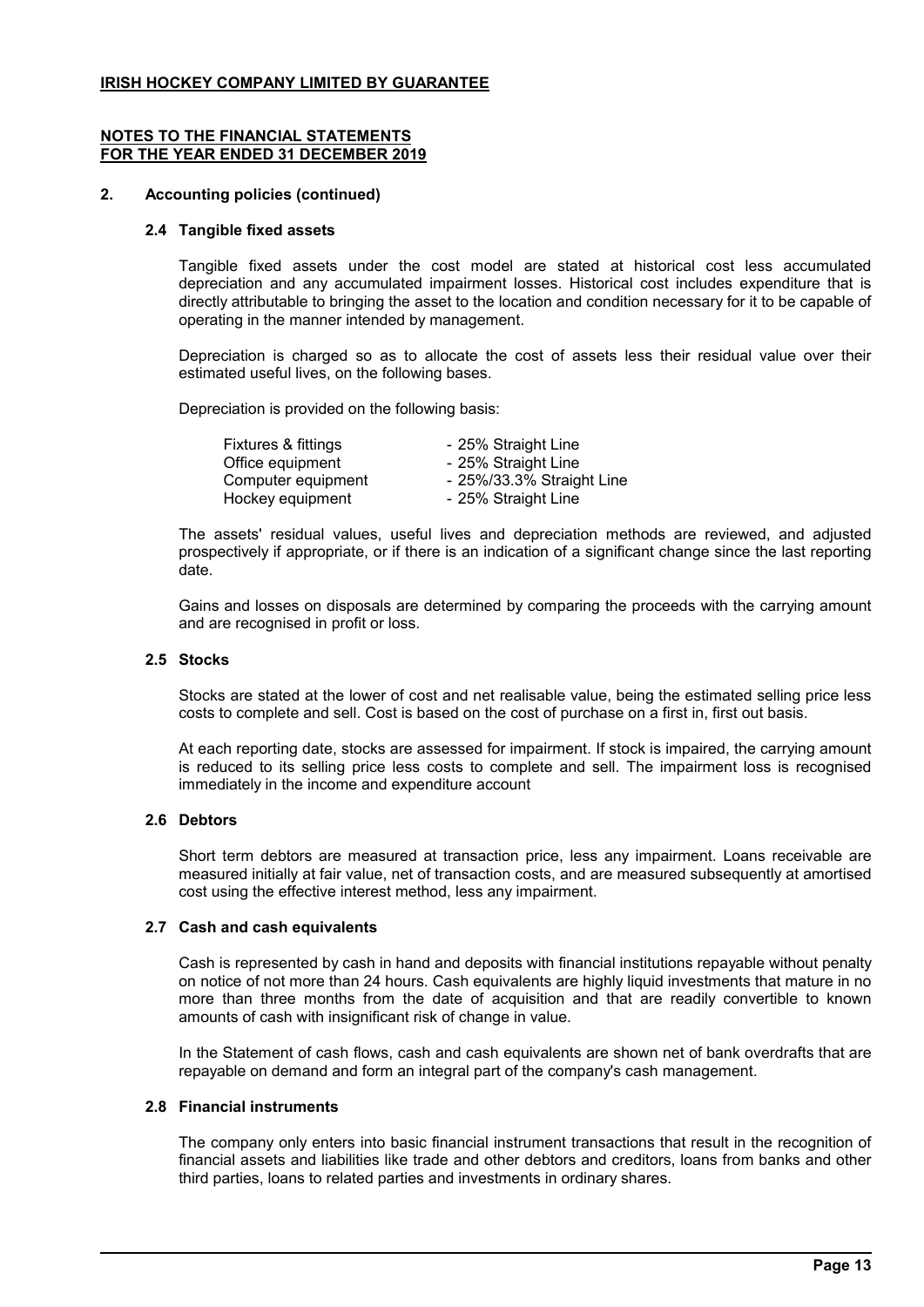#### **NOTES TO THE FINANCIAL STATEMENTS FOR THE YEAR ENDED 31 DECEMBER 2019**

#### **2. Accounting policies (continued)**

#### **2.4 Tangible fixed assets**

Tangible fixed assets under the cost model are stated at historical cost less accumulated depreciation and any accumulated impairment losses. Historical cost includes expenditure that is directly attributable to bringing the asset to the location and condition necessary for it to be capable of operating in the manner intended by management.

Depreciation is charged so as to allocate the cost of assets less their residual value over their estimated useful lives, on the following bases.

Depreciation is provided on the following basis:

Fixtures & fittings<br>
Office equipment<br>
25% Straight Line Office equipment Computer equipment - 25%/33.3% Straight Line Hockey equipment - 25% Straight Line

The assets' residual values, useful lives and depreciation methods are reviewed, and adjusted prospectively if appropriate, or if there is an indication of a significant change since the last reporting date.

Gains and losses on disposals are determined by comparing the proceeds with the carrying amount and are recognised in profit or loss.

#### **2.5 Stocks**

Stocks are stated at the lower of cost and net realisable value, being the estimated selling price less costs to complete and sell. Cost is based on the cost of purchase on a first in, first out basis.

At each reporting date, stocks are assessed for impairment. If stock is impaired, the carrying amount is reduced to its selling price less costs to complete and sell. The impairment loss is recognised immediately in the income and expenditure account

### **2.6 Debtors**

Short term debtors are measured at transaction price, less any impairment. Loans receivable are measured initially at fair value, net of transaction costs, and are measured subsequently at amortised cost using the effective interest method, less any impairment.

#### **2.7 Cash and cash equivalents**

Cash is represented by cash in hand and deposits with financial institutions repayable without penalty on notice of not more than 24 hours. Cash equivalents are highly liquid investments that mature in no more than three months from the date of acquisition and that are readily convertible to known amounts of cash with insignificant risk of change in value.

In the Statement of cash flows, cash and cash equivalents are shown net of bank overdrafts that are repayable on demand and form an integral part of the company's cash management.

#### **2.8 Financial instruments**

The company only enters into basic financial instrument transactions that result in the recognition of financial assets and liabilities like trade and other debtors and creditors, loans from banks and other third parties, loans to related parties and investments in ordinary shares.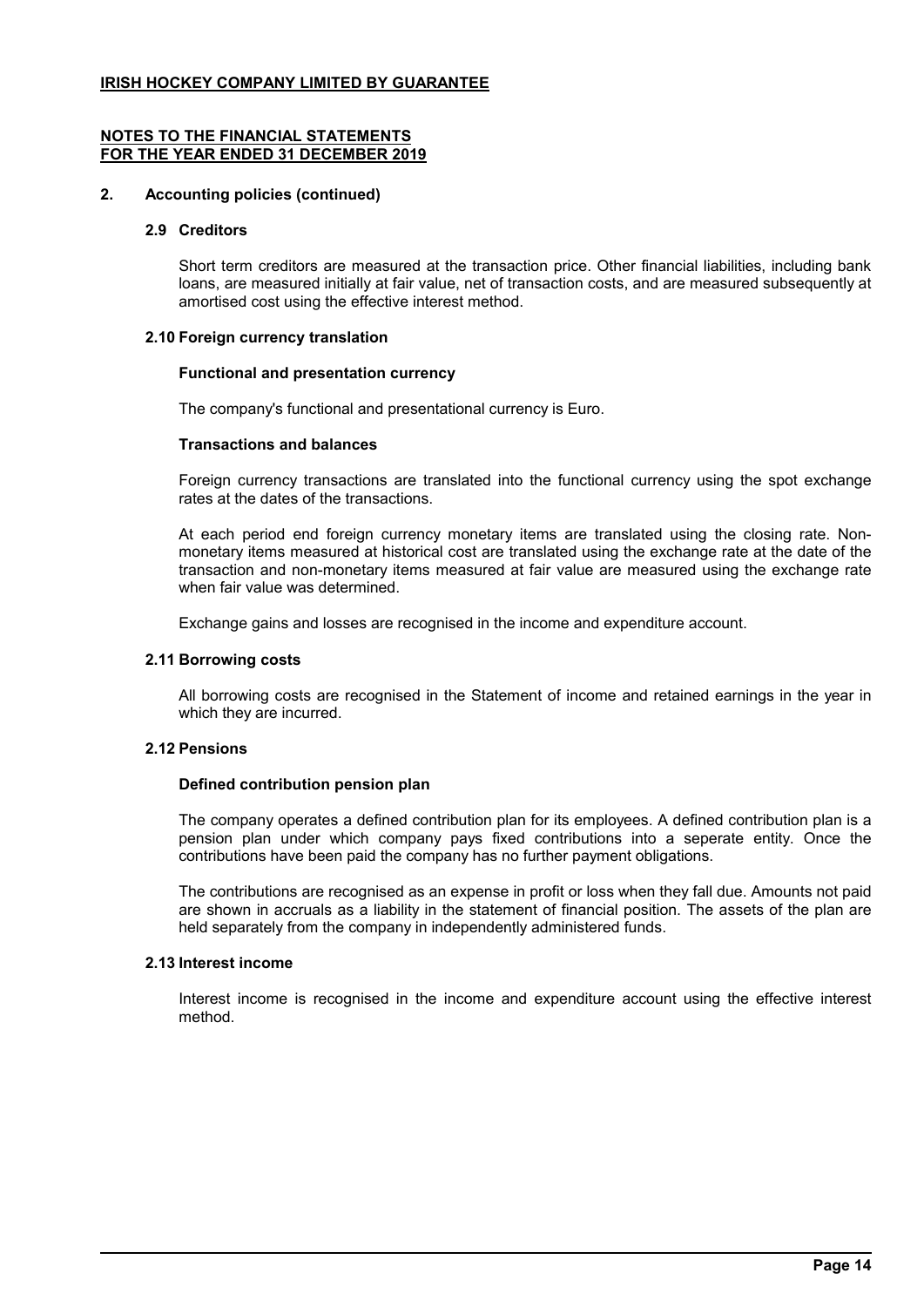#### **NOTES TO THE FINANCIAL STATEMENTS FOR THE YEAR ENDED 31 DECEMBER 2019**

#### **2. Accounting policies (continued)**

#### **2.9 Creditors**

Short term creditors are measured at the transaction price. Other financial liabilities, including bank loans, are measured initially at fair value, net of transaction costs, and are measured subsequently at amortised cost using the effective interest method.

#### **2.10 Foreign currency translation**

#### **Functional and presentation currency**

The company's functional and presentational currency is Euro.

#### **Transactions and balances**

Foreign currency transactions are translated into the functional currency using the spot exchange rates at the dates of the transactions.

At each period end foreign currency monetary items are translated using the closing rate. Nonmonetary items measured at historical cost are translated using the exchange rate at the date of the transaction and non-monetary items measured at fair value are measured using the exchange rate when fair value was determined.

Exchange gains and losses are recognised in the income and expenditure account.

#### **2.11 Borrowing costs**

All borrowing costs are recognised in the Statement of income and retained earnings in the year in which they are incurred.

### **2.12 Pensions**

#### **Defined contribution pension plan**

The company operates a defined contribution plan for its employees. A defined contribution plan is a pension plan under which company pays fixed contributions into a seperate entity. Once the contributions have been paid the company has no further payment obligations.

The contributions are recognised as an expense in profit or loss when they fall due. Amounts not paid are shown in accruals as a liability in the statement of financial position. The assets of the plan are held separately from the company in independently administered funds.

### **2.13 Interest income**

Interest income is recognised in the income and expenditure account using the effective interest method.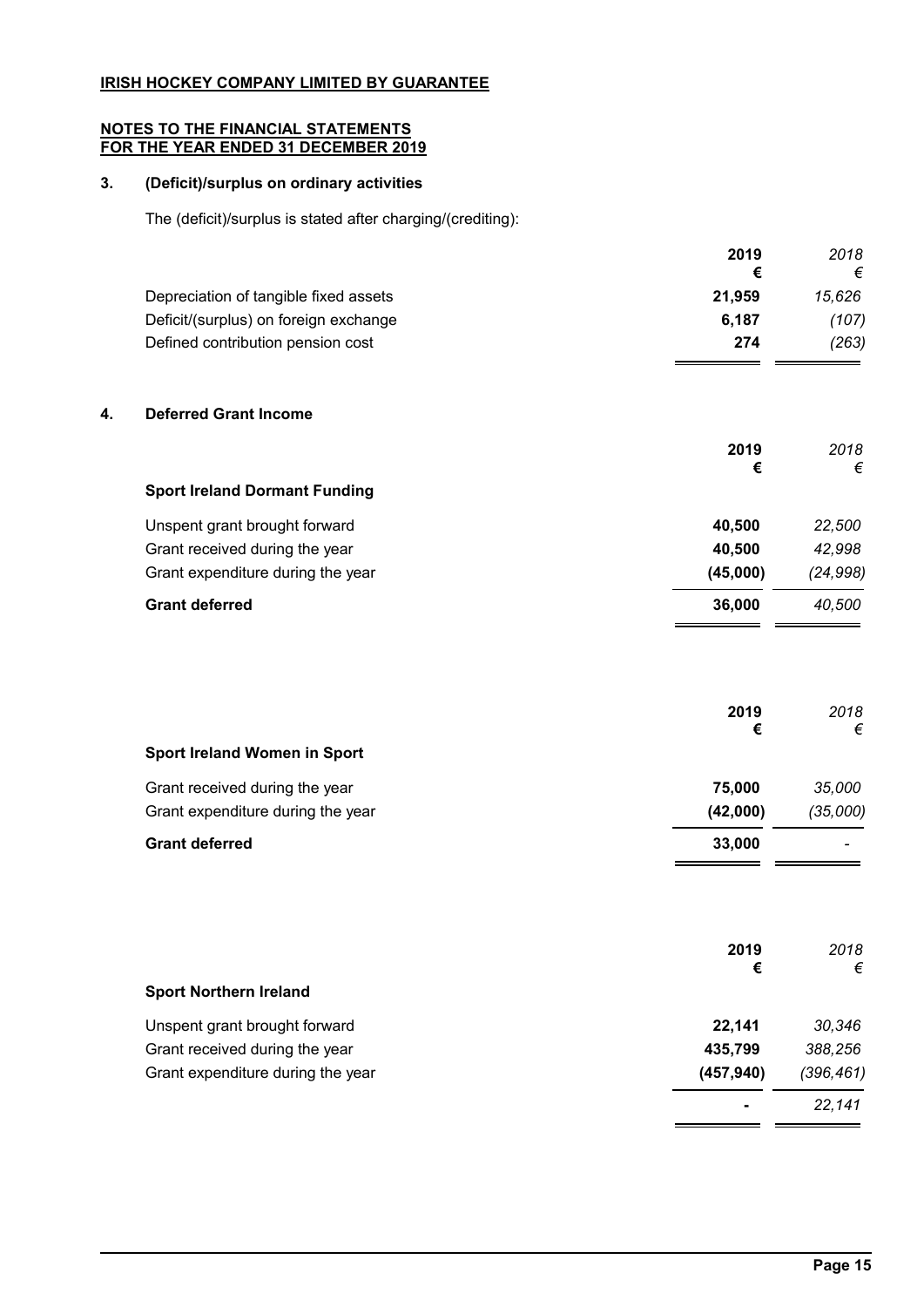#### **NOTES TO THE FINANCIAL STATEMENTS FOR THE YEAR ENDED 31 DECEMBER 2019**

## **3. (Deficit)/surplus on ordinary activities**

The (deficit)/surplus is stated after charging/(crediting):

|    |                                       | 2019<br>€  | 2018<br>€  |
|----|---------------------------------------|------------|------------|
|    | Depreciation of tangible fixed assets | 21,959     | 15,626     |
|    | Deficit/(surplus) on foreign exchange | 6,187      | (107)      |
|    | Defined contribution pension cost     | 274        | (263)      |
| 4. | <b>Deferred Grant Income</b>          |            |            |
|    |                                       | 2019<br>€  | 2018<br>€  |
|    | <b>Sport Ireland Dormant Funding</b>  |            |            |
|    | Unspent grant brought forward         | 40,500     | 22,500     |
|    | Grant received during the year        | 40,500     | 42,998     |
|    | Grant expenditure during the year     | (45,000)   | (24, 998)  |
|    | <b>Grant deferred</b>                 | 36,000     | 40,500     |
|    | Sport Ireland Women in Sport          | 2019<br>€  | 2018<br>€  |
|    | Grant received during the year        | 75,000     | 35,000     |
|    | Grant expenditure during the year     | (42,000)   | (35,000)   |
|    | <b>Grant deferred</b>                 | 33,000     |            |
|    |                                       |            |            |
|    |                                       | 2019<br>€  | 2018<br>€  |
|    | <b>Sport Northern Ireland</b>         |            |            |
|    | Unspent grant brought forward         | 22,141     | 30,346     |
|    | Grant received during the year        | 435,799    | 388,256    |
|    | Grant expenditure during the year     | (457, 940) | (396, 461) |
|    |                                       |            | 22,141     |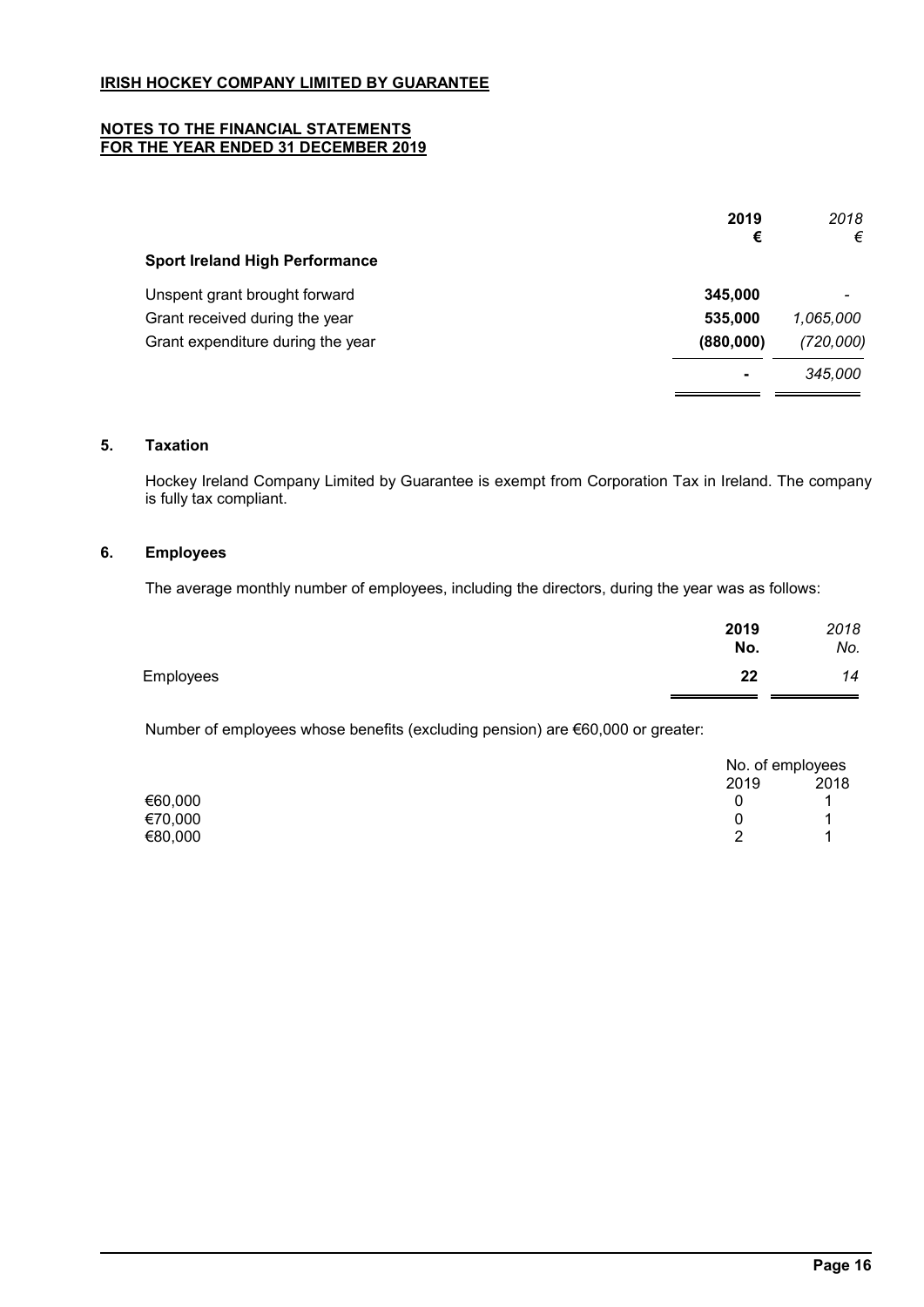#### **NOTES TO THE FINANCIAL STATEMENTS FOR THE YEAR ENDED 31 DECEMBER 2019**

|                                       | 2019<br>€      | 2018<br>€ |
|---------------------------------------|----------------|-----------|
| <b>Sport Ireland High Performance</b> |                |           |
| Unspent grant brought forward         | 345,000        |           |
| Grant received during the year        | 535,000        | 1,065,000 |
| Grant expenditure during the year     | (880,000)      | (720,000) |
|                                       | $\blacksquare$ | 345,000   |

### **5. Taxation**

Hockey Ireland Company Limited by Guarantee is exempt from Corporation Tax in Ireland. The company is fully tax compliant.

## **6. Employees**

The average monthly number of employees, including the directors, during the year was as follows:

|           | No. | No. |
|-----------|-----|-----|
| Employees | 22  | 14  |

Number of employees whose benefits (excluding pension) are €60,000 or greater:

|         |              | No. of employees |  |
|---------|--------------|------------------|--|
|         | 2019         | 2018             |  |
| €60,000 | $\mathbf{I}$ |                  |  |
| €70,000 |              |                  |  |
| €80,000 | റ            |                  |  |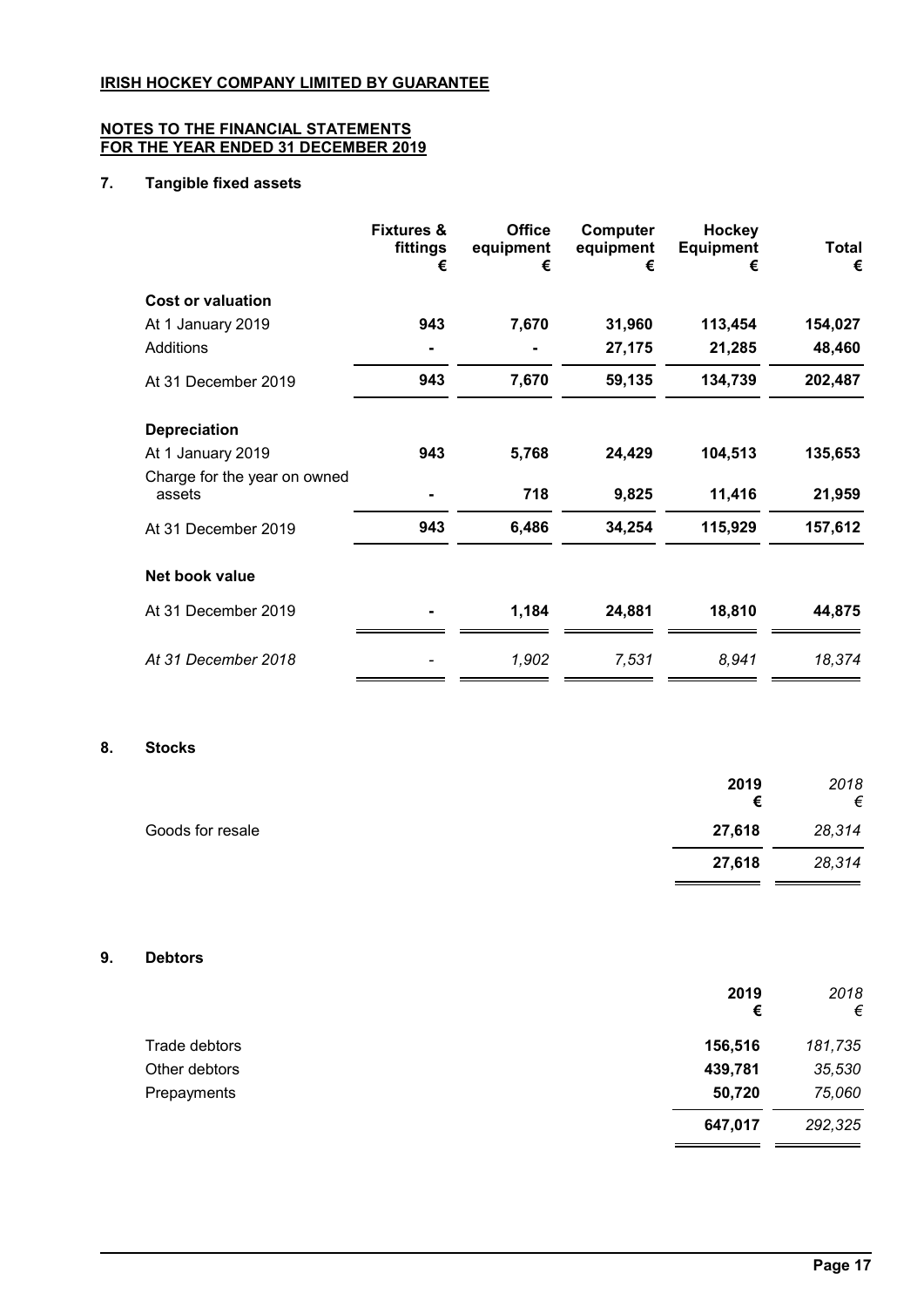#### **NOTES TO THE FINANCIAL STATEMENTS FOR THE YEAR ENDED 31 DECEMBER 2019**

## **7. Tangible fixed assets**

|                                        | <b>Fixtures &amp;</b><br>fittings<br>€ | <b>Office</b><br>equipment<br>€ | Computer<br>equipment<br>€ | <b>Hockey</b><br><b>Equipment</b><br>€ | <b>Total</b><br>€ |
|----------------------------------------|----------------------------------------|---------------------------------|----------------------------|----------------------------------------|-------------------|
| <b>Cost or valuation</b>               |                                        |                                 |                            |                                        |                   |
| At 1 January 2019                      | 943                                    | 7,670                           | 31,960                     | 113,454                                | 154,027           |
| Additions                              |                                        |                                 | 27,175                     | 21,285                                 | 48,460            |
| At 31 December 2019                    | 943                                    | 7,670                           | 59,135                     | 134,739                                | 202,487           |
| <b>Depreciation</b>                    |                                        |                                 |                            |                                        |                   |
| At 1 January 2019                      | 943                                    | 5,768                           | 24,429                     | 104,513                                | 135,653           |
| Charge for the year on owned<br>assets |                                        | 718                             | 9,825                      | 11,416                                 | 21,959            |
| At 31 December 2019                    | 943                                    | 6,486                           | 34,254                     | 115,929                                | 157,612           |
| Net book value                         |                                        |                                 |                            |                                        |                   |
| At 31 December 2019                    |                                        | 1,184                           | 24,881                     | 18,810                                 | 44,875            |
| At 31 December 2018                    |                                        | 1,902                           | 7,531                      | 8,941                                  | 18,374            |

## **8. Stocks**

|                  | 2019<br>€ | 2018<br>€ |
|------------------|-----------|-----------|
| Goods for resale | 27,618    | 28,314    |
|                  | 27,618    | 28,314    |

### **9. Debtors**

|               | 2019<br>€ | 2018<br>€ |
|---------------|-----------|-----------|
| Trade debtors | 156,516   | 181,735   |
| Other debtors | 439,781   | 35,530    |
| Prepayments   | 50,720    | 75,060    |
|               | 647,017   | 292,325   |
|               |           |           |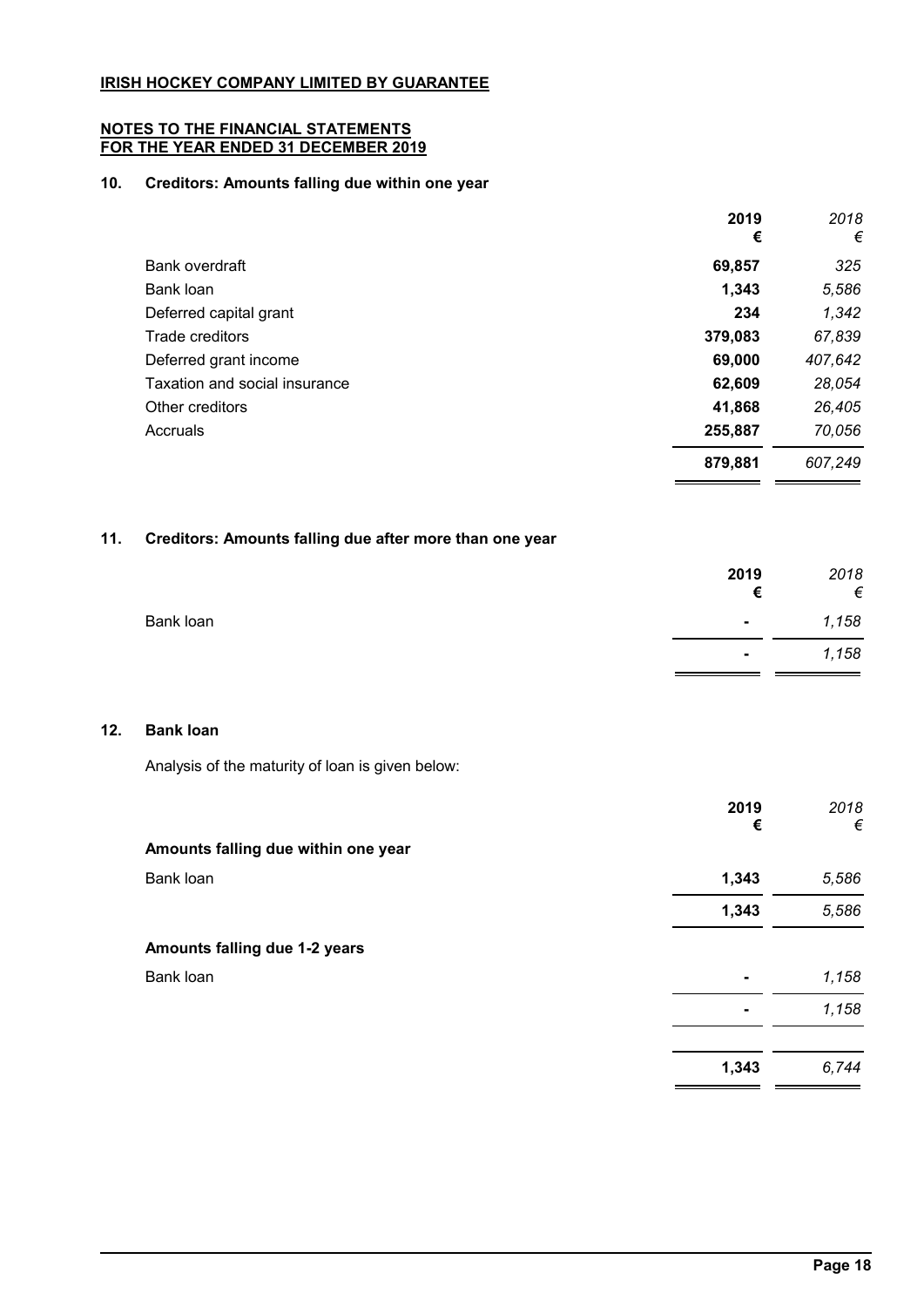#### **NOTES TO THE FINANCIAL STATEMENTS FOR THE YEAR ENDED 31 DECEMBER 2019**

### **10. Creditors: Amounts falling due within one year**

|                               | 2019<br>€ | 2018<br>€ |
|-------------------------------|-----------|-----------|
| Bank overdraft                | 69,857    | 325       |
| Bank loan                     | 1,343     | 5,586     |
| Deferred capital grant        | 234       | 1,342     |
| Trade creditors               | 379,083   | 67,839    |
| Deferred grant income         | 69,000    | 407,642   |
| Taxation and social insurance | 62,609    | 28,054    |
| Other creditors               | 41,868    | 26,405    |
| Accruals                      | 255,887   | 70,056    |
|                               | 879,881   | 607,249   |

## **11. Creditors: Amounts falling due after more than one year**

|           | 2019<br>€      | 2018<br>€ |
|-----------|----------------|-----------|
| Bank loan | $\blacksquare$ | 1,158     |
|           | $\blacksquare$ | 1,158     |

### **12. Bank loan**

Analysis of the maturity of loan is given below:

|                                     | 2019<br>€                | 2018<br>€ |
|-------------------------------------|--------------------------|-----------|
| Amounts falling due within one year |                          |           |
| Bank loan                           | 1,343                    | 5,586     |
|                                     | 1,343                    | 5,586     |
| Amounts falling due 1-2 years       |                          |           |
| Bank loan                           | $\overline{\phantom{0}}$ | 1,158     |
|                                     |                          | 1,158     |
|                                     | 1,343                    | 6,744     |

 $=$   $=$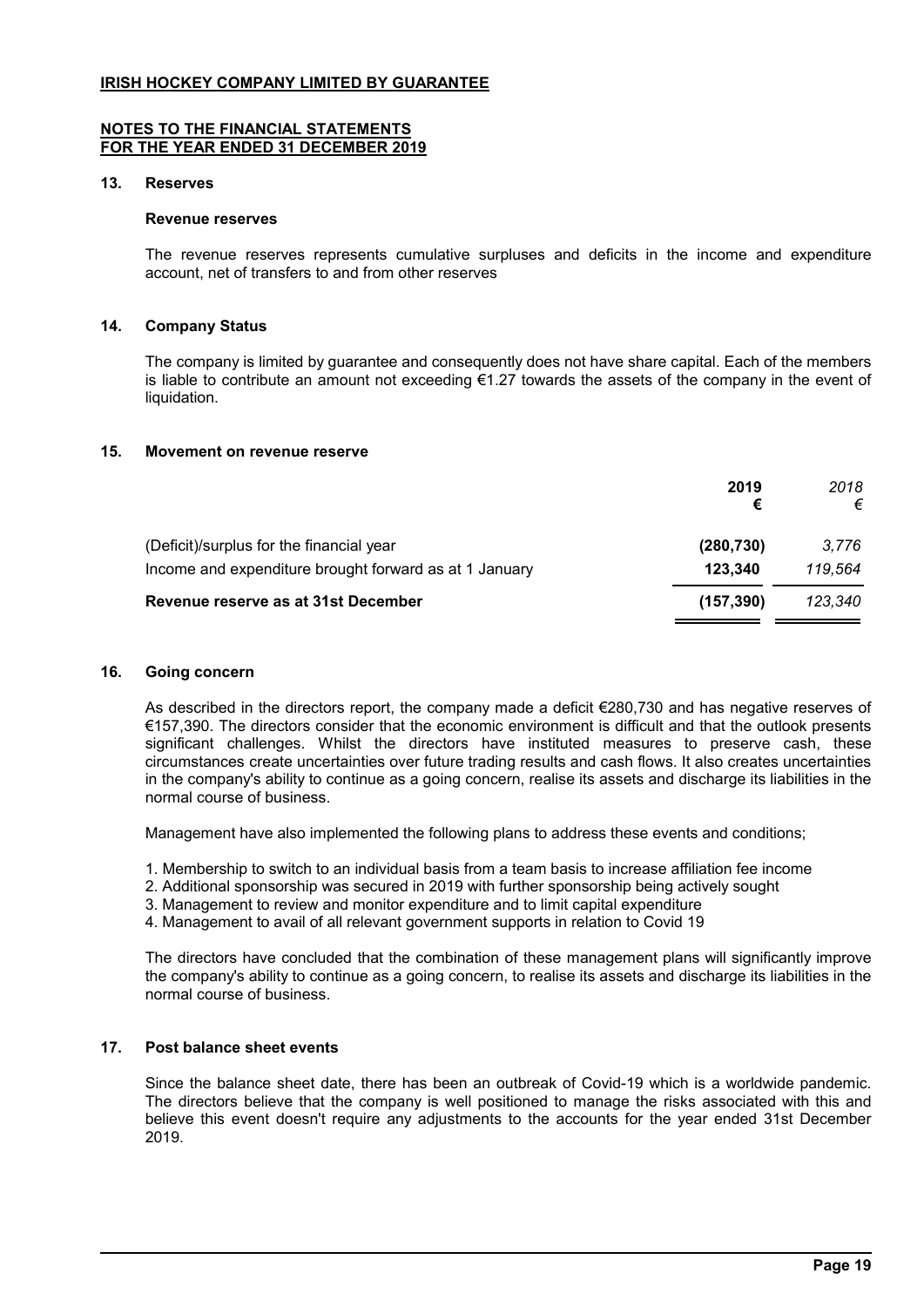#### **NOTES TO THE FINANCIAL STATEMENTS FOR THE YEAR ENDED 31 DECEMBER 2019**

#### **13. Reserves**

#### **Revenue reserves**

The revenue reserves represents cumulative surpluses and deficits in the income and expenditure account, net of transfers to and from other reserves

#### **14. Company Status**

The company is limited by guarantee and consequently does not have share capital. Each of the members is liable to contribute an amount not exceeding  $\epsilon$ 1.27 towards the assets of the company in the event of liquidation.

#### **15. Movement on revenue reserve**

|                                                        | 2019<br>€  | 2018<br>€ |
|--------------------------------------------------------|------------|-----------|
| (Deficit)/surplus for the financial year               | (280, 730) | 3.776     |
| Income and expenditure brought forward as at 1 January | 123.340    | 119,564   |
| Revenue reserve as at 31st December                    | (157, 390) | 123.340   |

#### **16. Going concern**

As described in the directors report, the company made a deficit €280,730 and has negative reserves of €157,390. The directors consider that the economic environment is difficult and that the outlook presents significant challenges. Whilst the directors have instituted measures to preserve cash, these circumstances create uncertainties over future trading results and cash flows. It also creates uncertainties in the company's ability to continue as a going concern, realise its assets and discharge its liabilities in the normal course of business.

Management have also implemented the following plans to address these events and conditions;

- 1. Membership to switch to an individual basis from a team basis to increase affiliation fee income
- 2. Additional sponsorship was secured in 2019 with further sponsorship being actively sought
- 3. Management to review and monitor expenditure and to limit capital expenditure
- 4. Management to avail of all relevant government supports in relation to Covid 19

The directors have concluded that the combination of these management plans will significantly improve the company's ability to continue as a going concern, to realise its assets and discharge its liabilities in the normal course of business.

### **17. Post balance sheet events**

Since the balance sheet date, there has been an outbreak of Covid-19 which is a worldwide pandemic. The directors believe that the company is well positioned to manage the risks associated with this and believe this event doesn't require any adjustments to the accounts for the year ended 31st December 2019.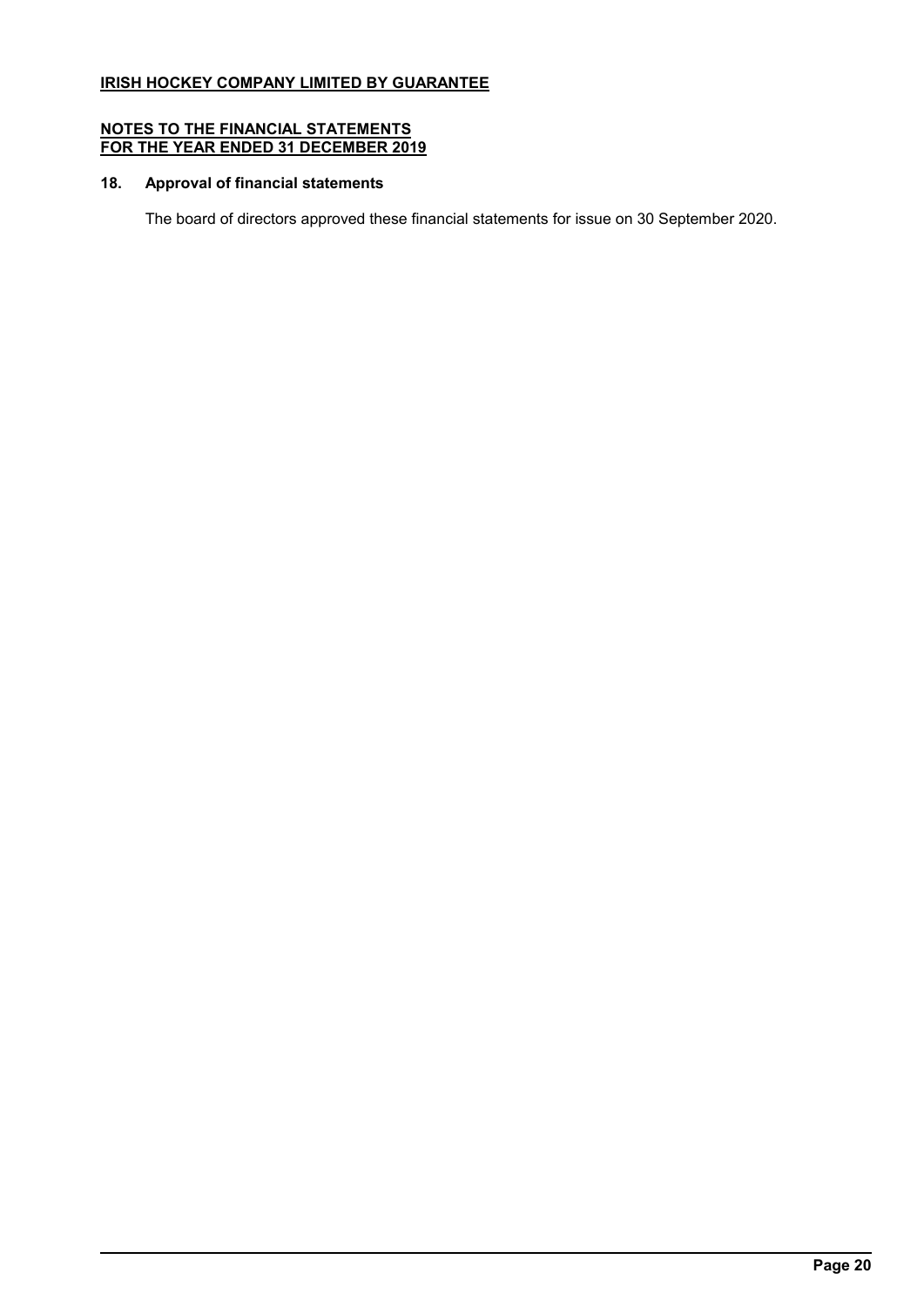#### **NOTES TO THE FINANCIAL STATEMENTS FOR THE YEAR ENDED 31 DECEMBER 2019**

#### **18. Approval of financial statements**

The board of directors approved these financial statements for issue on 30 September 2020.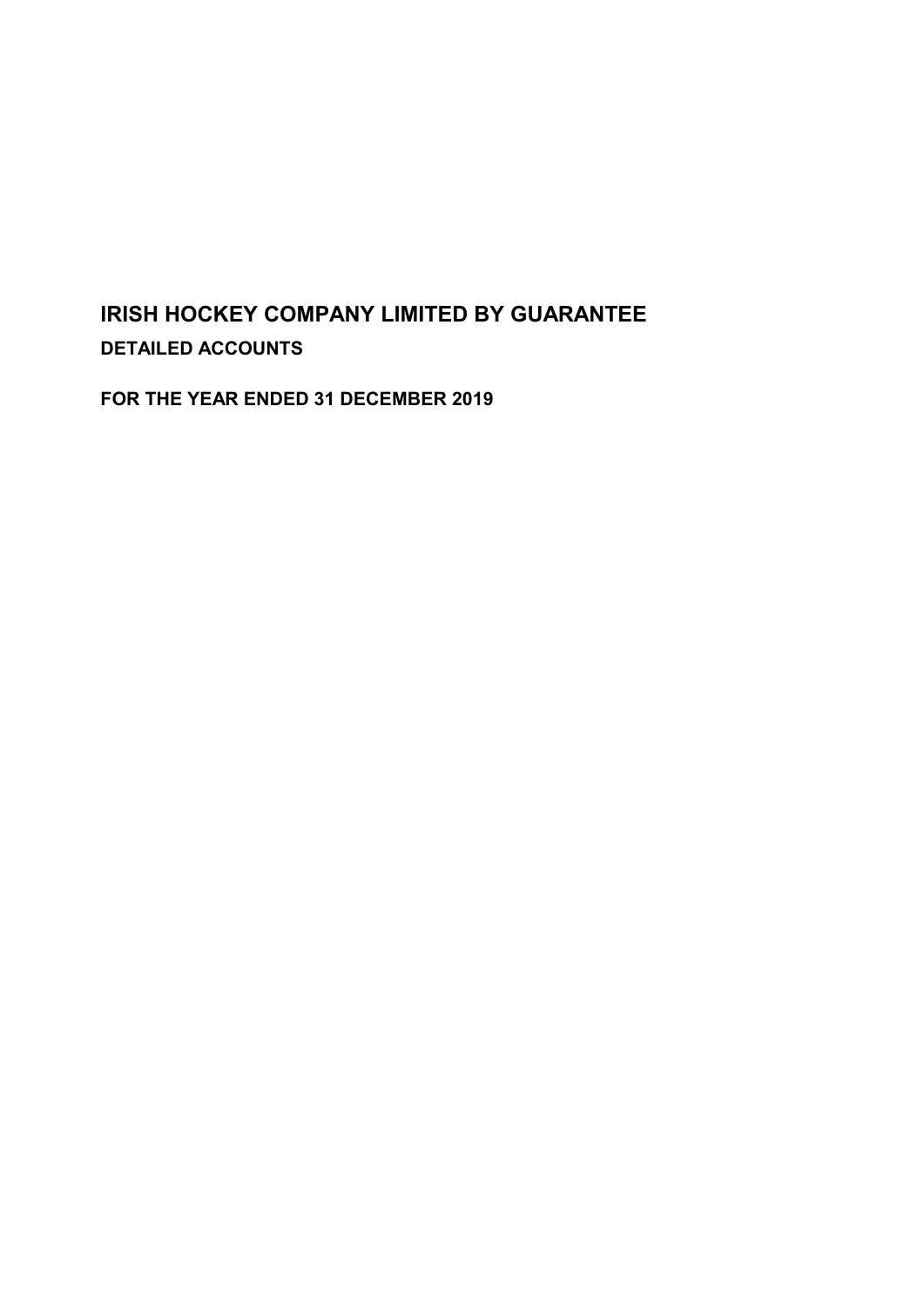# **IRISH HOCKEY COMPANY LIMITED BY GUARANTEE DETAILED ACCOUNTS**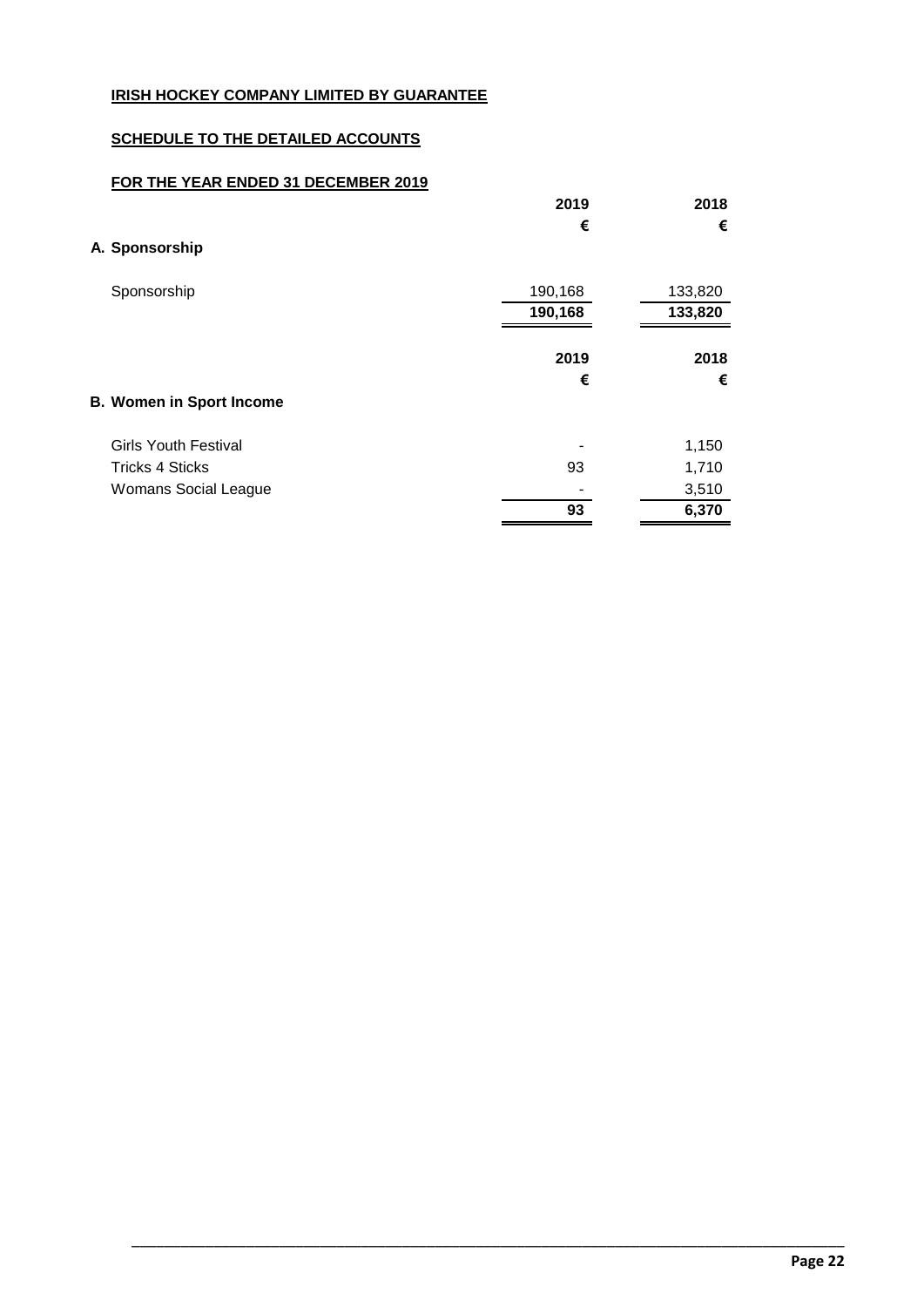## SCHEDULE TO THE DETAILED ACCOUNTS

|                                 | 2019    | 2018    |
|---------------------------------|---------|---------|
|                                 | €       | €       |
| A. Sponsorship                  |         |         |
| Sponsorship                     | 190,168 | 133,820 |
|                                 | 190,168 | 133,820 |
|                                 | 2019    | 2018    |
|                                 | €       | €       |
| <b>B. Women in Sport Income</b> |         |         |
| <b>Girls Youth Festival</b>     |         | 1,150   |
| <b>Tricks 4 Sticks</b>          | 93      | 1,710   |
| Womans Social League            |         | 3,510   |
|                                 | 93      | 6,370   |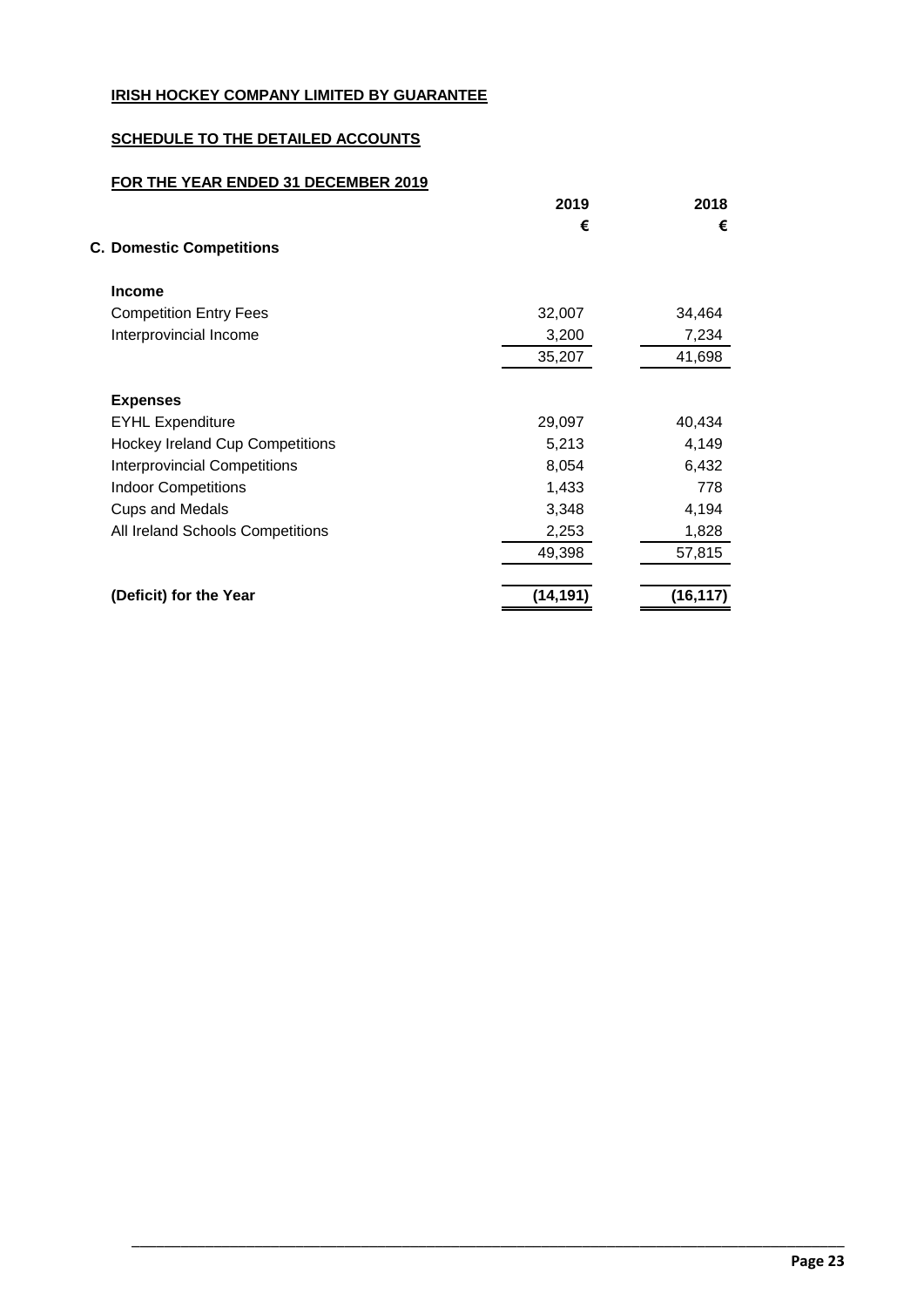## SCHEDULE TO THE DETAILED ACCOUNTS

| 2019   | 2018      |
|--------|-----------|
| €      | €         |
|        |           |
|        |           |
| 32,007 | 34,464    |
| 3,200  | 7,234     |
| 35,207 | 41,698    |
|        |           |
| 29,097 | 40,434    |
| 5,213  | 4,149     |
| 8,054  | 6,432     |
| 1,433  | 778       |
| 3,348  | 4,194     |
| 2,253  | 1,828     |
| 49,398 | 57,815    |
|        | (16, 117) |
|        | (14, 191) |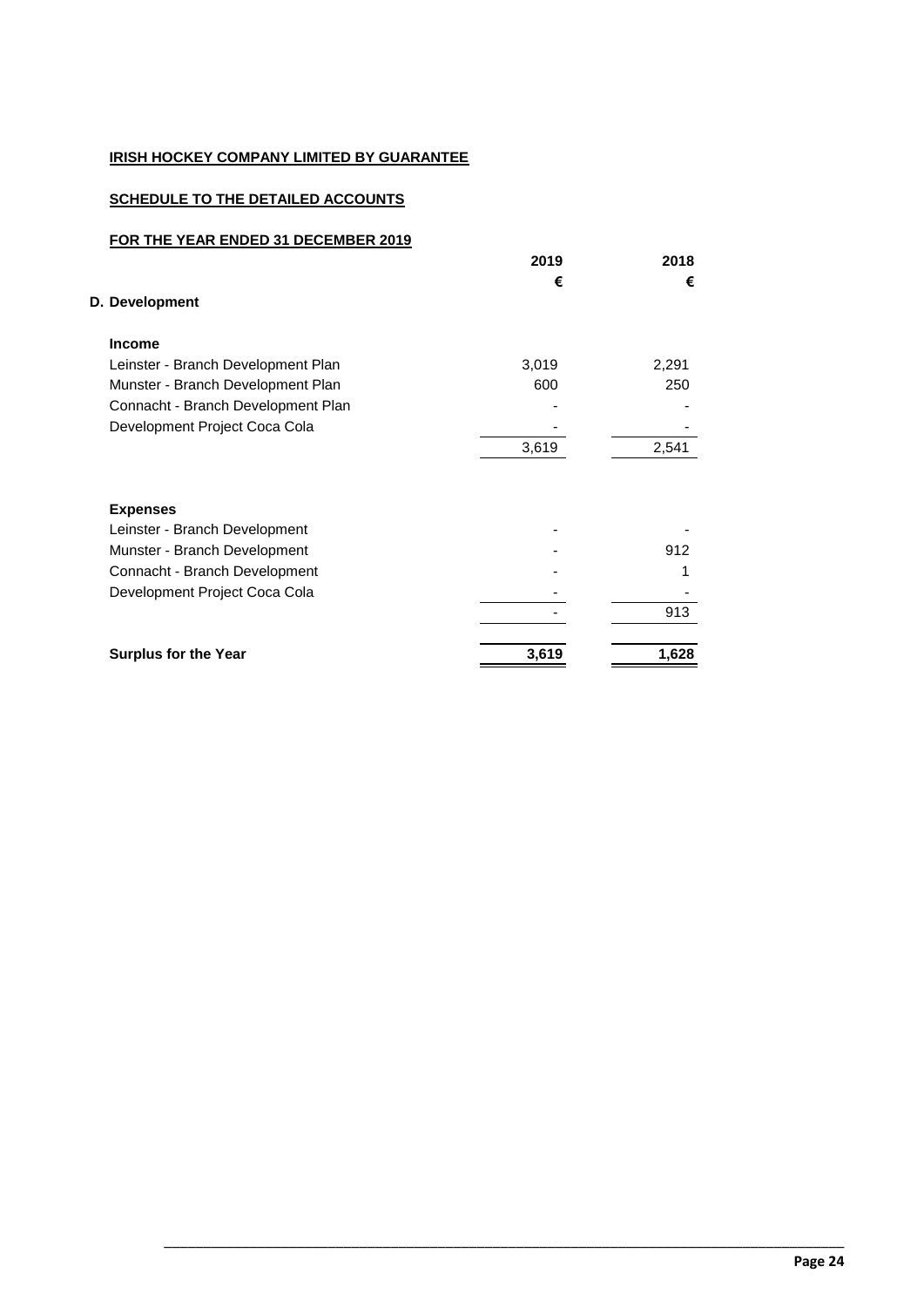## **SCHEDULE TO THE DETAILED ACCOUNTS**

|                                    | 2019  | 2018  |
|------------------------------------|-------|-------|
|                                    | €     | €     |
| D. Development                     |       |       |
|                                    |       |       |
| <b>Income</b>                      |       |       |
| Leinster - Branch Development Plan | 3,019 | 2,291 |
| Munster - Branch Development Plan  | 600   | 250   |
| Connacht - Branch Development Plan |       |       |
| Development Project Coca Cola      |       |       |
|                                    | 3,619 | 2,541 |
|                                    |       |       |
|                                    |       |       |
| <b>Expenses</b>                    |       |       |
| Leinster - Branch Development      |       |       |
| Munster - Branch Development       |       | 912   |
| Connacht - Branch Development      |       |       |
| Development Project Coca Cola      |       |       |
|                                    |       | 913   |
| <b>Surplus for the Year</b>        | 3,619 | 1,628 |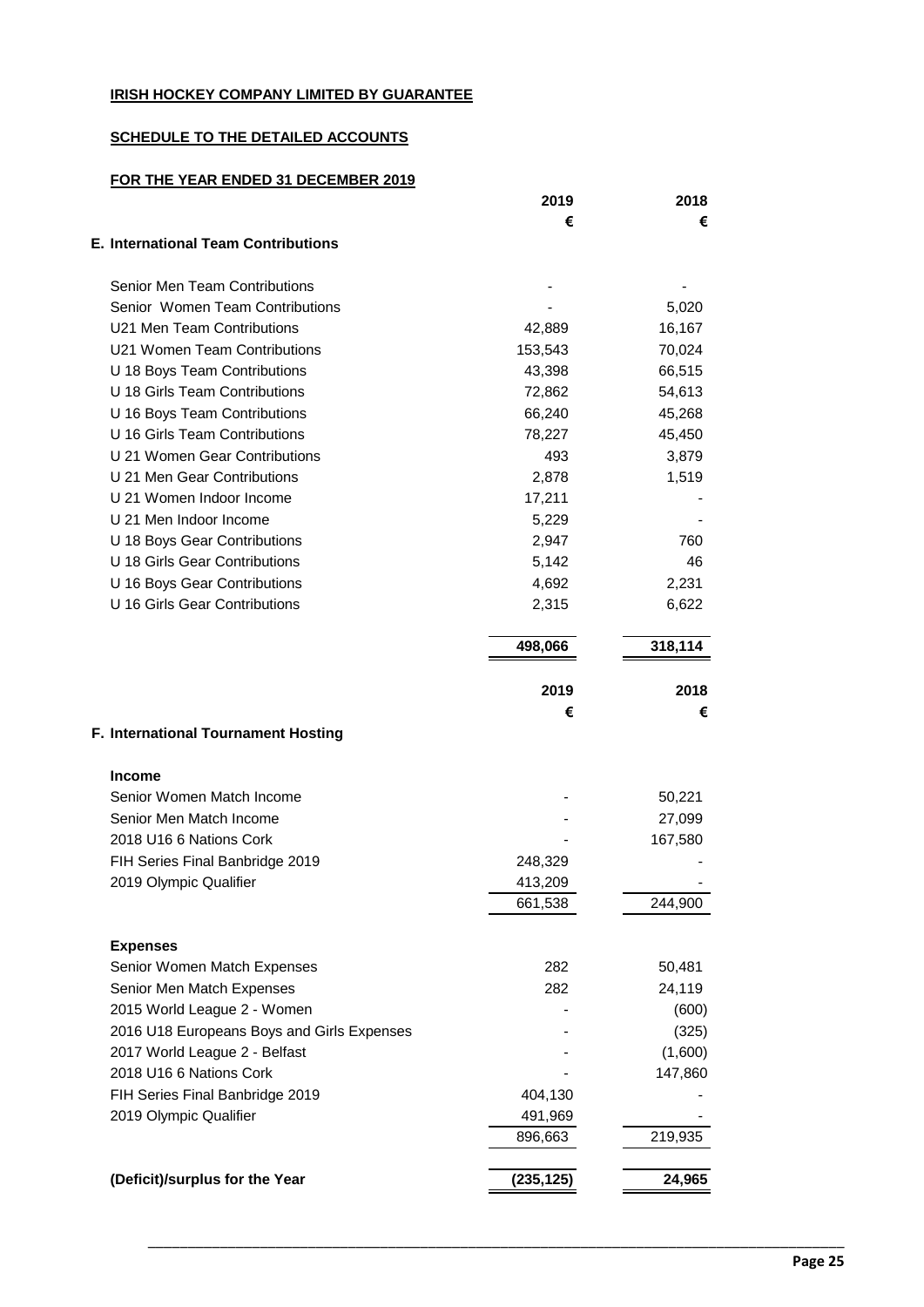#### **SCHEDULE TO THE DETAILED ACCOUNTS**

|                                            | 2019       | 2018    |
|--------------------------------------------|------------|---------|
|                                            | €          | €       |
| <b>E. International Team Contributions</b> |            |         |
| Senior Men Team Contributions              |            |         |
| Senior Women Team Contributions            |            | 5,020   |
| U21 Men Team Contributions                 | 42,889     | 16,167  |
| U21 Women Team Contributions               | 153,543    | 70,024  |
| U 18 Boys Team Contributions               | 43,398     | 66,515  |
| U 18 Girls Team Contributions              | 72,862     | 54,613  |
| U 16 Boys Team Contributions               | 66,240     | 45,268  |
| U 16 Girls Team Contributions              | 78,227     | 45,450  |
| U 21 Women Gear Contributions              | 493        | 3,879   |
| U 21 Men Gear Contributions                |            |         |
|                                            | 2,878      | 1,519   |
| U 21 Women Indoor Income                   | 17,211     |         |
| U 21 Men Indoor Income                     | 5,229      |         |
| U 18 Boys Gear Contributions               | 2,947      | 760     |
| U 18 Girls Gear Contributions              | 5,142      | 46      |
| U 16 Boys Gear Contributions               | 4,692      | 2,231   |
| U 16 Girls Gear Contributions              | 2,315      | 6,622   |
|                                            | 498,066    | 318,114 |
|                                            | 2019       | 2018    |
|                                            | €          | €       |
| F. International Tournament Hosting        |            |         |
|                                            |            |         |
| <b>Income</b><br>Senior Women Match Income |            |         |
|                                            |            | 50,221  |
| Senior Men Match Income                    |            | 27,099  |
| 2018 U16 6 Nations Cork                    |            | 167,580 |
| FIH Series Final Banbridge 2019            | 248,329    |         |
| 2019 Olympic Qualifier                     | 413,209    |         |
|                                            | 661,538    | 244,900 |
| <b>Expenses</b>                            |            |         |
| Senior Women Match Expenses                | 282        | 50,481  |
| Senior Men Match Expenses                  | 282        | 24,119  |
| 2015 World League 2 - Women                |            | (600)   |
| 2016 U18 Europeans Boys and Girls Expenses |            | (325)   |
| 2017 World League 2 - Belfast              |            | (1,600) |
| 2018 U16 6 Nations Cork                    |            | 147,860 |
| FIH Series Final Banbridge 2019            | 404,130    |         |
| 2019 Olympic Qualifier                     | 491,969    |         |
|                                            | 896,663    | 219,935 |
| (Deficit)/surplus for the Year             |            | 24,965  |
|                                            | (235, 125) |         |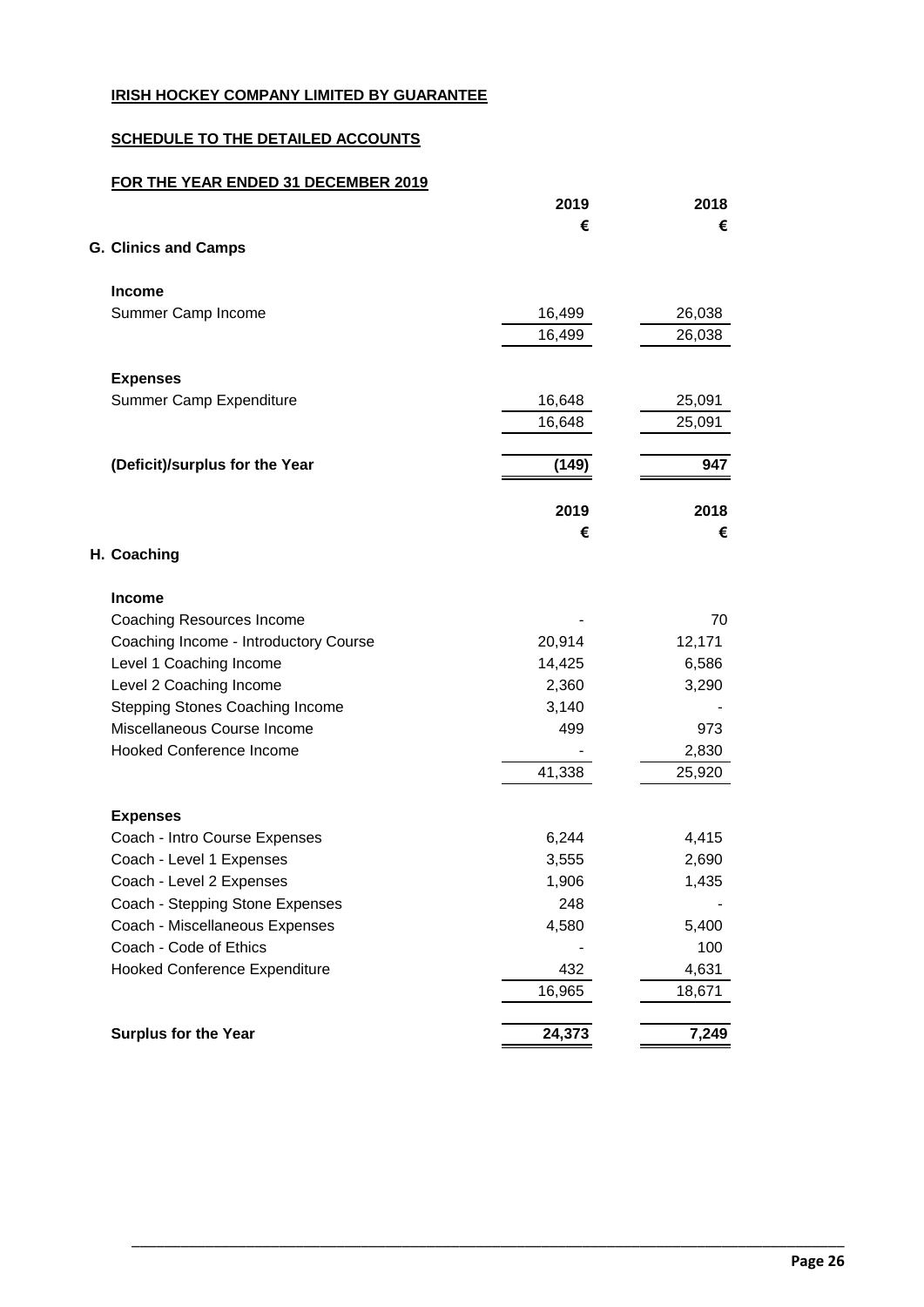## SCHEDULE TO THE DETAILED ACCOUNTS

|                                        | 2019             | 2018             |
|----------------------------------------|------------------|------------------|
| <b>G. Clinics and Camps</b>            | €                | €                |
| <b>Income</b>                          |                  |                  |
| Summer Camp Income                     | 16,499<br>16,499 | 26,038<br>26,038 |
| <b>Expenses</b>                        |                  |                  |
| Summer Camp Expenditure                | 16,648<br>16,648 | 25,091<br>25,091 |
| (Deficit)/surplus for the Year         | (149)            | 947              |
|                                        | 2019             | 2018             |
| H. Coaching                            | €                | €                |
| <b>Income</b>                          |                  |                  |
| Coaching Resources Income              |                  | 70               |
| Coaching Income - Introductory Course  | 20,914           | 12,171           |
| Level 1 Coaching Income                | 14,425           | 6,586            |
| Level 2 Coaching Income                | 2,360            | 3,290            |
| <b>Stepping Stones Coaching Income</b> | 3,140            |                  |
| Miscellaneous Course Income            | 499              | 973              |
| <b>Hooked Conference Income</b>        |                  | 2,830            |
|                                        | 41,338           | 25,920           |
| <b>Expenses</b>                        |                  |                  |
| Coach - Intro Course Expenses          | 6,244            | 4,415            |
| Coach - Level 1 Expenses               | 3,555            | 2,690            |
| Coach - Level 2 Expenses               | 1,906            | 1,435            |
| Coach - Stepping Stone Expenses        | 248              |                  |
| Coach - Miscellaneous Expenses         | 4,580            | 5,400            |
| Coach - Code of Ethics                 |                  | 100              |
| <b>Hooked Conference Expenditure</b>   | 432              | 4,631            |
|                                        | 16,965           | 18,671           |
| Surplus for the Year                   | 24,373           | 7,249            |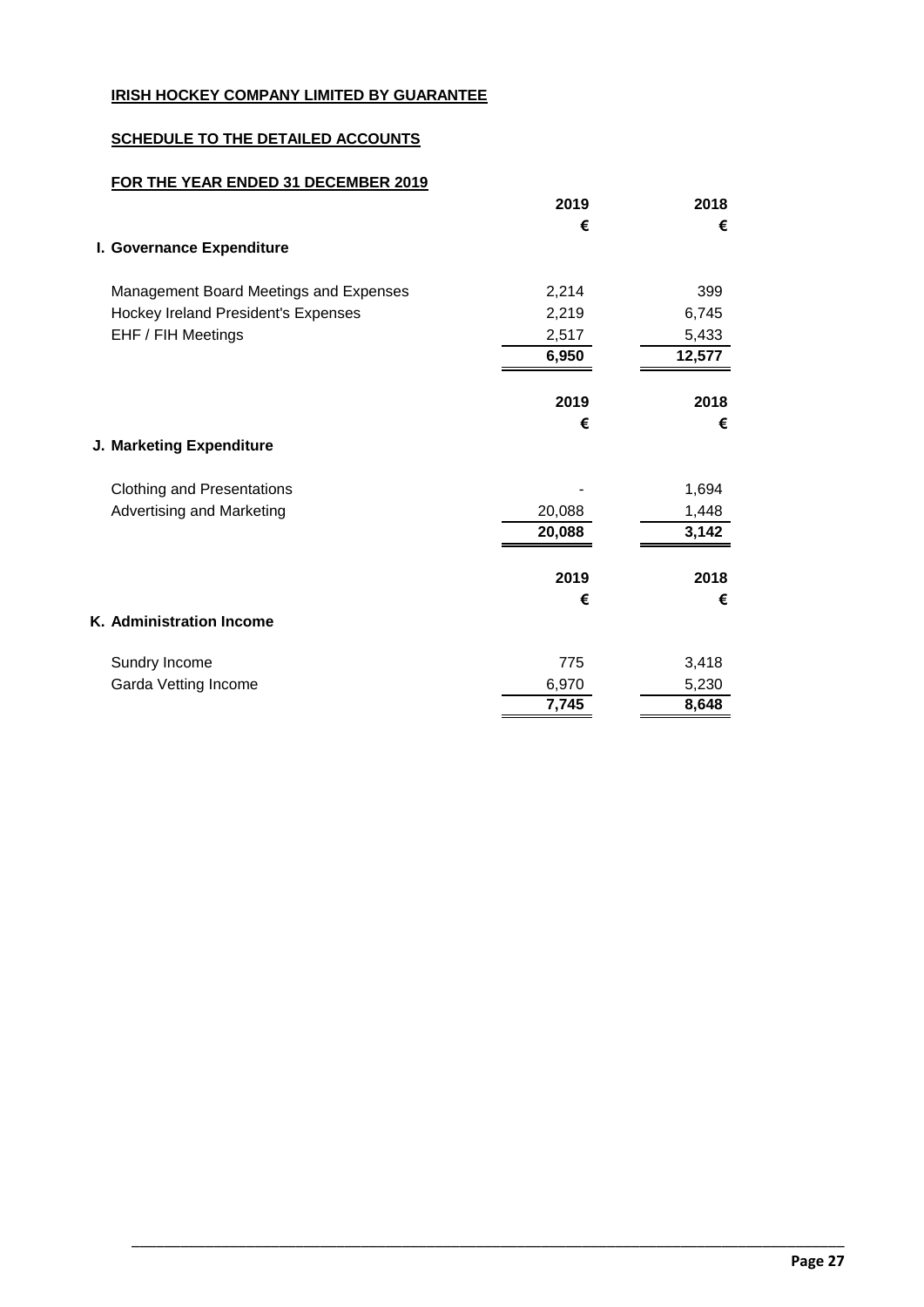## SCHEDULE TO THE DETAILED ACCOUNTS

|                                        | 2019   | 2018   |
|----------------------------------------|--------|--------|
|                                        | €      | €      |
| I. Governance Expenditure              |        |        |
| Management Board Meetings and Expenses | 2,214  | 399    |
| Hockey Ireland President's Expenses    | 2,219  | 6,745  |
| EHF / FIH Meetings                     | 2,517  | 5,433  |
|                                        | 6,950  | 12,577 |
|                                        | 2019   | 2018   |
|                                        | €      | €      |
| J. Marketing Expenditure               |        |        |
| <b>Clothing and Presentations</b>      |        | 1,694  |
| Advertising and Marketing              | 20,088 | 1,448  |
|                                        | 20,088 | 3,142  |
|                                        | 2019   | 2018   |
|                                        | €      | €      |
| K. Administration Income               |        |        |
| Sundry Income                          | 775    | 3,418  |
| Garda Vetting Income                   | 6,970  | 5,230  |
|                                        | 7,745  | 8,648  |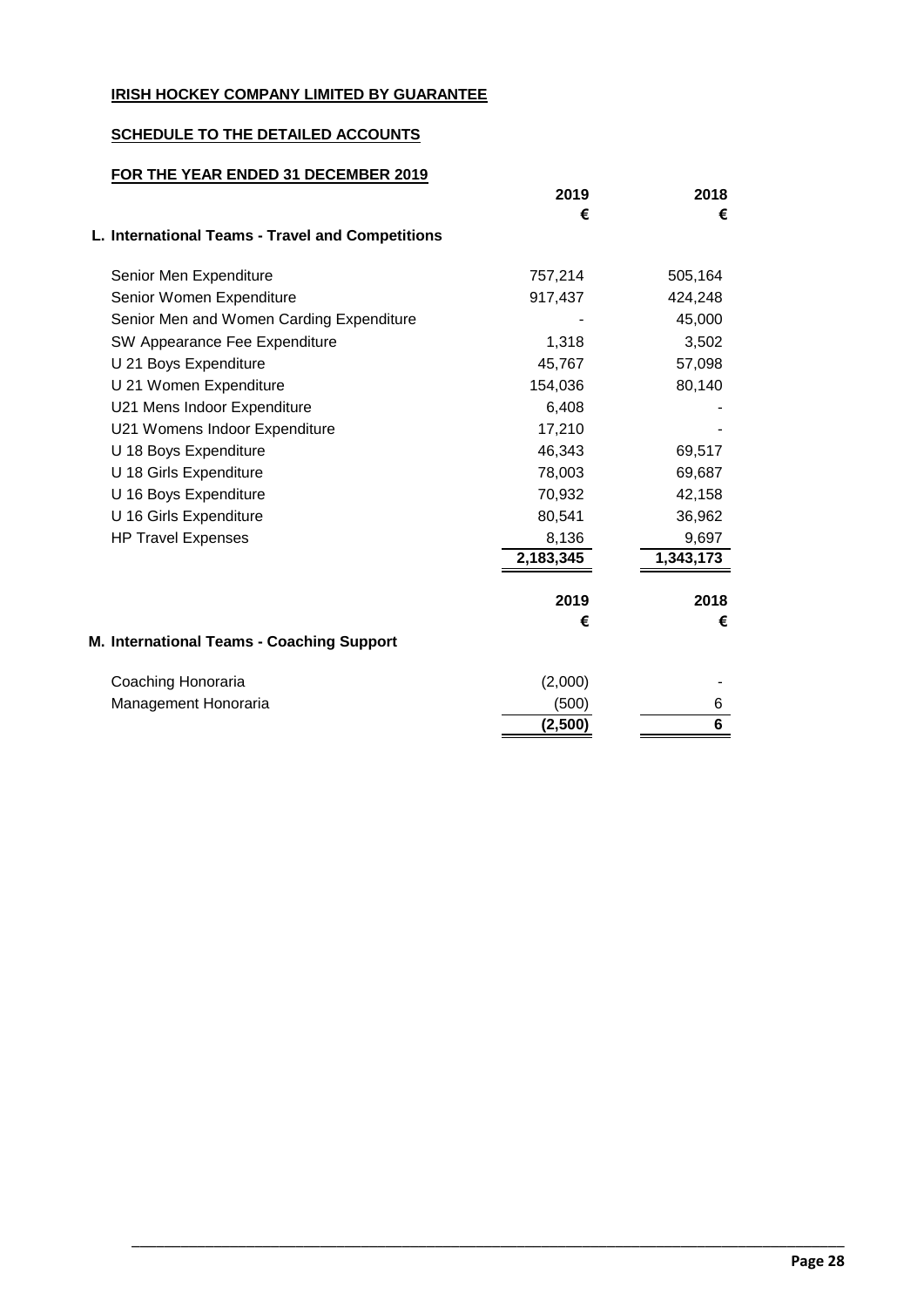## **SCHEDULE TO THE DETAILED ACCOUNTS**

|                                                  | 2019      | 2018      |
|--------------------------------------------------|-----------|-----------|
|                                                  | €         | €         |
| L. International Teams - Travel and Competitions |           |           |
| Senior Men Expenditure                           | 757,214   | 505,164   |
| Senior Women Expenditure                         | 917,437   | 424,248   |
| Senior Men and Women Carding Expenditure         |           | 45,000    |
| SW Appearance Fee Expenditure                    | 1,318     | 3,502     |
| U 21 Boys Expenditure                            | 45,767    | 57,098    |
| U 21 Women Expenditure                           | 154,036   | 80,140    |
| U21 Mens Indoor Expenditure                      | 6,408     |           |
| U21 Womens Indoor Expenditure                    | 17,210    |           |
| U 18 Boys Expenditure                            | 46,343    | 69,517    |
| U 18 Girls Expenditure                           | 78,003    | 69,687    |
| U 16 Boys Expenditure                            | 70,932    | 42,158    |
| U 16 Girls Expenditure                           | 80,541    | 36,962    |
| <b>HP Travel Expenses</b>                        | 8,136     | 9,697     |
|                                                  | 2,183,345 | 1,343,173 |
|                                                  |           |           |
|                                                  | 2019      | 2018      |
|                                                  | €         | €         |
| M. International Teams - Coaching Support        |           |           |
| Coaching Honoraria                               | (2,000)   |           |
| Management Honoraria                             | (500)     | 6         |
|                                                  | (2,500)   | 6         |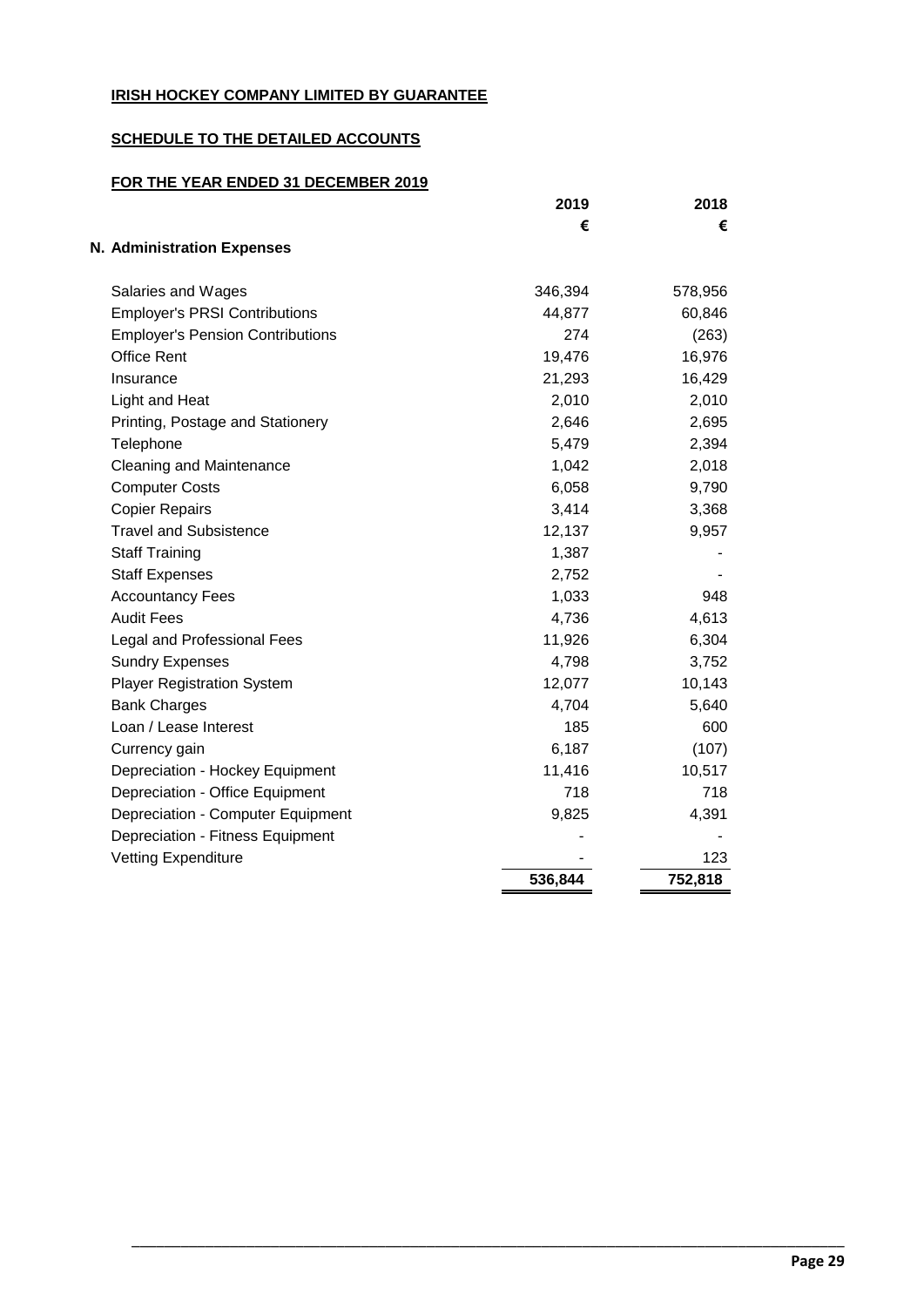## SCHEDULE TO THE DETAILED ACCOUNTS

|                                         | 2019    | 2018    |
|-----------------------------------------|---------|---------|
|                                         | €       | €       |
| N. Administration Expenses              |         |         |
| Salaries and Wages                      | 346,394 | 578,956 |
| <b>Employer's PRSI Contributions</b>    | 44,877  | 60,846  |
| <b>Employer's Pension Contributions</b> | 274     | (263)   |
| Office Rent                             | 19,476  | 16,976  |
| Insurance                               | 21,293  | 16,429  |
| Light and Heat                          | 2,010   | 2,010   |
| Printing, Postage and Stationery        | 2,646   | 2,695   |
| Telephone                               | 5,479   | 2,394   |
| Cleaning and Maintenance                | 1,042   | 2,018   |
| <b>Computer Costs</b>                   | 6,058   | 9,790   |
| <b>Copier Repairs</b>                   | 3,414   | 3,368   |
| <b>Travel and Subsistence</b>           | 12,137  | 9,957   |
| <b>Staff Training</b>                   | 1,387   |         |
| <b>Staff Expenses</b>                   | 2,752   |         |
| <b>Accountancy Fees</b>                 | 1,033   | 948     |
| <b>Audit Fees</b>                       | 4,736   | 4,613   |
| Legal and Professional Fees             | 11,926  | 6,304   |
| <b>Sundry Expenses</b>                  | 4,798   | 3,752   |
| <b>Player Registration System</b>       | 12,077  | 10,143  |
| <b>Bank Charges</b>                     | 4,704   | 5,640   |
| Loan / Lease Interest                   | 185     | 600     |
| Currency gain                           | 6,187   | (107)   |
| Depreciation - Hockey Equipment         | 11,416  | 10,517  |
| Depreciation - Office Equipment         | 718     | 718     |
| Depreciation - Computer Equipment       | 9,825   | 4,391   |
| Depreciation - Fitness Equipment        |         |         |
| <b>Vetting Expenditure</b>              |         | 123     |
|                                         | 536,844 | 752,818 |